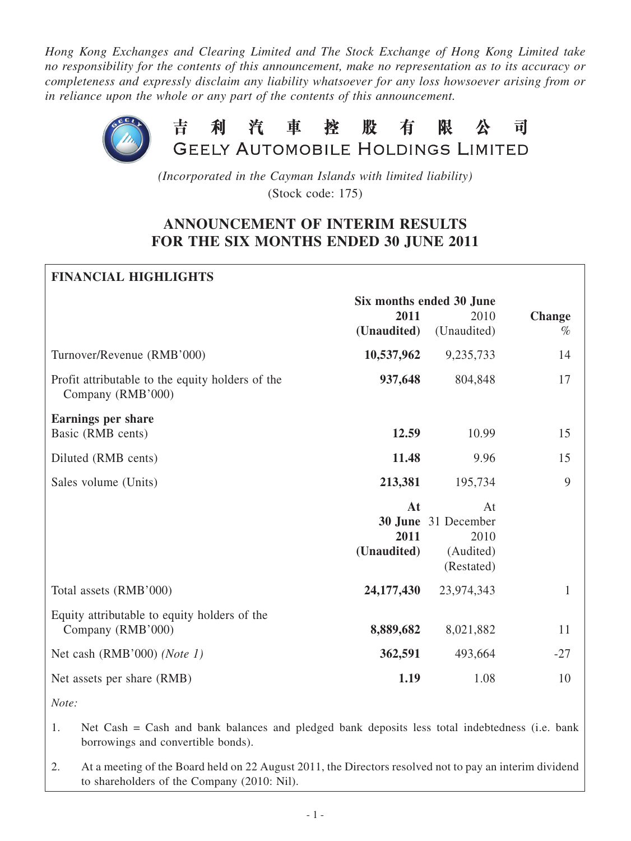*Hong Kong Exchanges and Clearing Limited and The Stock Exchange of Hong Kong Limited take no responsibility for the contents of this announcement, make no representation as to its accuracy or completeness and expressly disclaim any liability whatsoever for any loss howsoever arising from or in reliance upon the whole or any part of the contents of this announcement.*



*(Incorporated in the Cayman Islands with limited liability)* (Stock code: 175)

## **ANNOUNCEMENT OF INTERIM RESULTS FOR THE SIX MONTHS ENDED 30 JUNE 2011**

# **Financial Highlights Six months ended 30 June 2011** 2010 **Change (Unaudited)**(Unaudited) *%* Turnover/Revenue (RMB'000) **10,537,962** 9,235,733 14 Profit attributable to the equity holders of the **937,648** 804,848 17 Company (RMB'000) **Earnings per share Basic (RMB cents) 12.59** 10.99 15 Diluted (RMB cents) **11.48** 9.96 15 Sales volume (Units) **213,381** 195,734 9 **At** At **30 June** 31 December **2011** 2010 **(Unaudited)** (Audited) (Restated) Total assets (RMB'000) **24,177,430** 23,974,343 1 Equity attributable to equity holders of the Company (RMB'000) **8,889,682** 8,021,882 11 Net cash (RMB'000) *(Note 1)* 362,591 493,664 -27 Net assets per share (RMB) **1.19** 1.08 10

*Note:*

- 1. Net Cash = Cash and bank balances and pledged bank deposits less total indebtedness (i.e. bank borrowings and convertible bonds).
- 2. At a meeting of the Board held on 22 August 2011, the Directors resolved not to pay an interim dividend to shareholders of the Company (2010: Nil).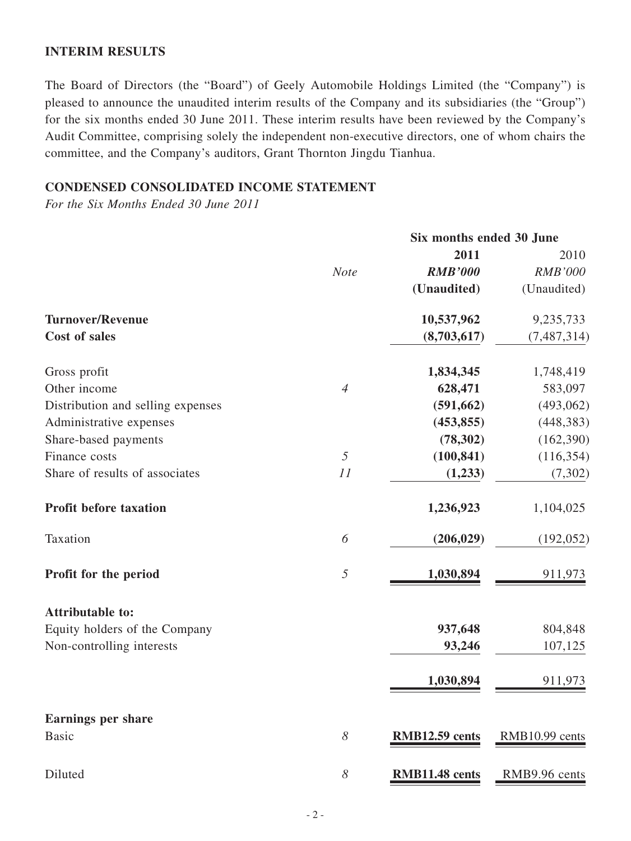### **INTERIM RESULTS**

The Board of Directors (the "Board") of Geely Automobile Holdings Limited (the "Company") is pleased to announce the unaudited interim results of the Company and its subsidiaries (the "Group") for the six months ended 30 June 2011. These interim results have been reviewed by the Company's Audit Committee, comprising solely the independent non-executive directors, one of whom chairs the committee, and the Company's auditors, Grant Thornton Jingdu Tianhua.

## **CONDENSED CONSOLIDATED INCOME STATEMENT**

*For the Six Months Ended 30 June 2011*

|                                   | Six months ended 30 June |                |                |  |
|-----------------------------------|--------------------------|----------------|----------------|--|
|                                   |                          | 2011           | 2010           |  |
|                                   | <b>Note</b>              | <b>RMB'000</b> | <b>RMB'000</b> |  |
|                                   |                          | (Unaudited)    | (Unaudited)    |  |
| <b>Turnover/Revenue</b>           |                          | 10,537,962     | 9,235,733      |  |
| <b>Cost of sales</b>              |                          | (8,703,617)    | (7, 487, 314)  |  |
| Gross profit                      |                          | 1,834,345      | 1,748,419      |  |
| Other income                      | $\overline{4}$           | 628,471        | 583,097        |  |
| Distribution and selling expenses |                          | (591, 662)     | (493,062)      |  |
| Administrative expenses           |                          | (453, 855)     | (448, 383)     |  |
| Share-based payments              |                          | (78, 302)      | (162,390)      |  |
| Finance costs                     | 5                        | (100, 841)     | (116, 354)     |  |
| Share of results of associates    | 11                       | (1,233)        | (7, 302)       |  |
| <b>Profit before taxation</b>     |                          | 1,236,923      | 1,104,025      |  |
| Taxation                          | 6                        | (206, 029)     | (192, 052)     |  |
| Profit for the period             | 5                        | 1,030,894      | 911,973        |  |
| <b>Attributable to:</b>           |                          |                |                |  |
| Equity holders of the Company     |                          | 937,648        | 804,848        |  |
| Non-controlling interests         |                          | 93,246         | 107,125        |  |
|                                   |                          | 1,030,894      | 911,973        |  |
| <b>Earnings per share</b>         |                          |                |                |  |
| <b>Basic</b>                      | 8                        | RMB12.59 cents | RMB10.99 cents |  |
| Diluted                           | 8                        | RMB11.48 cents | RMB9.96 cents  |  |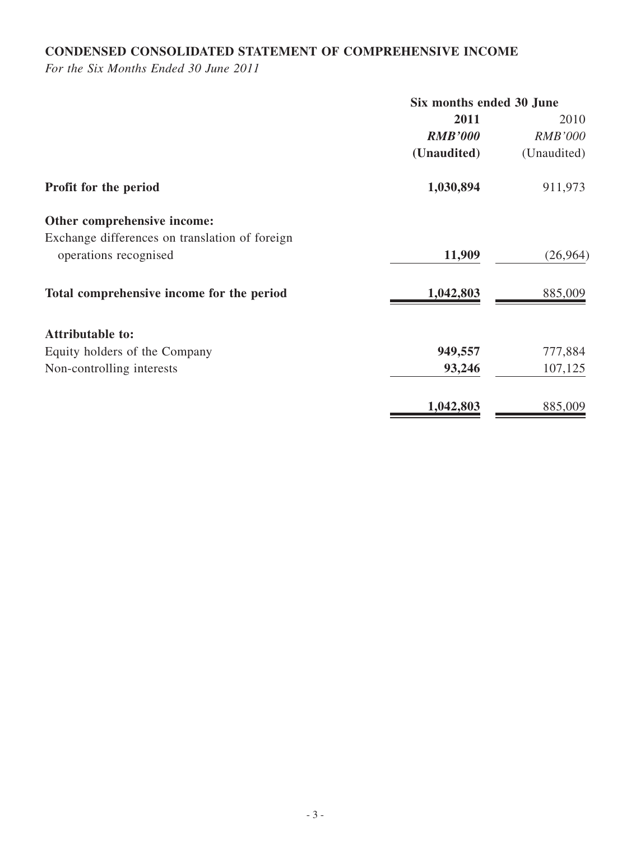## **CONDENSED CONSOLIDATED STATEMENT OF COMPREHENSIVE INCOME**

*For the Six Months Ended 30 June 2011*

|                                                | Six months ended 30 June |                |  |
|------------------------------------------------|--------------------------|----------------|--|
|                                                | 2011                     | 2010           |  |
|                                                | <b>RMB'000</b>           | <b>RMB'000</b> |  |
|                                                | (Unaudited)              | (Unaudited)    |  |
| Profit for the period                          | 1,030,894                | 911,973        |  |
| Other comprehensive income:                    |                          |                |  |
| Exchange differences on translation of foreign |                          |                |  |
| operations recognised                          | 11,909                   | (26,964)       |  |
| Total comprehensive income for the period      | 1,042,803                | 885,009        |  |
| <b>Attributable to:</b>                        |                          |                |  |
| Equity holders of the Company                  | 949,557                  | 777,884        |  |
| Non-controlling interests                      | 93,246                   | 107,125        |  |
|                                                | 1,042,803                | 885,009        |  |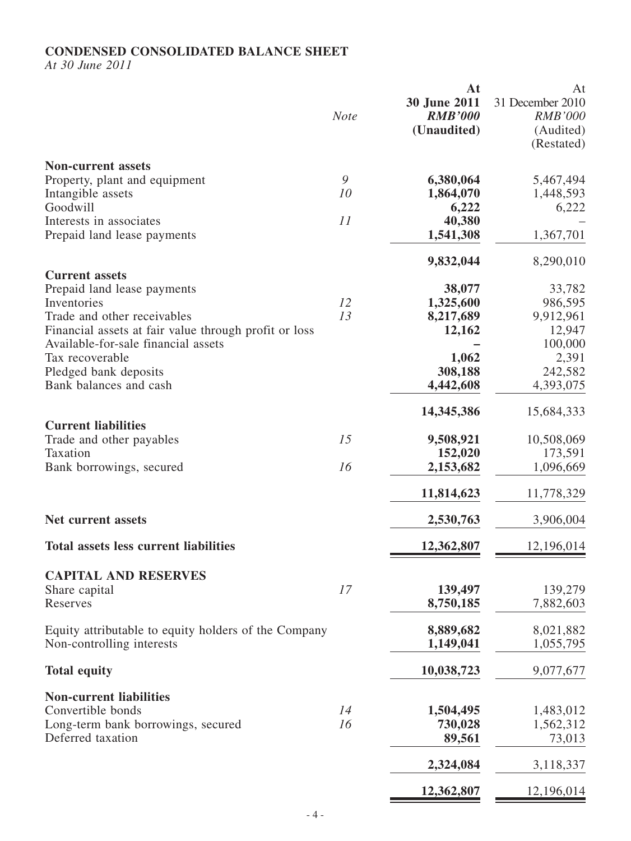## **CONDENSED CONSOLIDATED BALANCE SHEET**

*At 30 June 2011*

|                                                                                                                                                                                                                       | <b>Note</b>         | At<br>30 June 2011<br><b>RMB'000</b><br>(Unaudited)            | At<br>31 December 2010<br><b>RMB'000</b><br>(Audited)<br>(Restated)     |
|-----------------------------------------------------------------------------------------------------------------------------------------------------------------------------------------------------------------------|---------------------|----------------------------------------------------------------|-------------------------------------------------------------------------|
| <b>Non-current assets</b><br>Property, plant and equipment<br>Intangible assets                                                                                                                                       | $\mathcal{G}$<br>10 | 6,380,064<br>1,864,070                                         | 5,467,494<br>1,448,593                                                  |
| Goodwill<br>Interests in associates<br>Prepaid land lease payments                                                                                                                                                    | 11                  | 6,222<br>40,380<br>1,541,308                                   | 6,222<br>1,367,701                                                      |
| <b>Current assets</b>                                                                                                                                                                                                 |                     | 9,832,044                                                      | 8,290,010                                                               |
| Prepaid land lease payments<br>Inventories<br>Trade and other receivables<br>Financial assets at fair value through profit or loss<br>Available-for-sale financial assets<br>Tax recoverable<br>Pledged bank deposits | 12<br>13            | 38,077<br>1,325,600<br>8,217,689<br>12,162<br>1,062<br>308,188 | 33,782<br>986,595<br>9,912,961<br>12,947<br>100,000<br>2,391<br>242,582 |
| Bank balances and cash                                                                                                                                                                                                |                     | 4,442,608<br>14, 345, 386                                      | 4,393,075<br>15,684,333                                                 |
| <b>Current liabilities</b><br>Trade and other payables<br>Taxation<br>Bank borrowings, secured                                                                                                                        | 15<br>16            | 9,508,921<br>152,020<br>2,153,682                              | 10,508,069<br>173,591<br>1,096,669                                      |
|                                                                                                                                                                                                                       |                     | 11,814,623                                                     | 11,778,329                                                              |
| <b>Net current assets</b>                                                                                                                                                                                             |                     | 2,530,763                                                      | 3,906,004                                                               |
| <b>Total assets less current liabilities</b>                                                                                                                                                                          |                     | 12,362,807                                                     | 12,196,014                                                              |
| <b>CAPITAL AND RESERVES</b><br>Share capital<br>Reserves                                                                                                                                                              | 17                  | 139,497<br>8,750,185                                           | 139,279<br>7,882,603                                                    |
| Equity attributable to equity holders of the Company<br>Non-controlling interests                                                                                                                                     |                     | 8,889,682<br>1,149,041                                         | 8,021,882<br>1,055,795                                                  |
| <b>Total equity</b>                                                                                                                                                                                                   |                     | 10,038,723                                                     | 9,077,677                                                               |
| <b>Non-current liabilities</b><br>Convertible bonds<br>Long-term bank borrowings, secured<br>Deferred taxation                                                                                                        | 14<br>16            | 1,504,495<br>730,028<br>89,561                                 | 1,483,012<br>1,562,312<br>73,013                                        |
|                                                                                                                                                                                                                       |                     | 2,324,084                                                      | 3,118,337                                                               |
|                                                                                                                                                                                                                       |                     | 12,362,807                                                     | 12,196,014                                                              |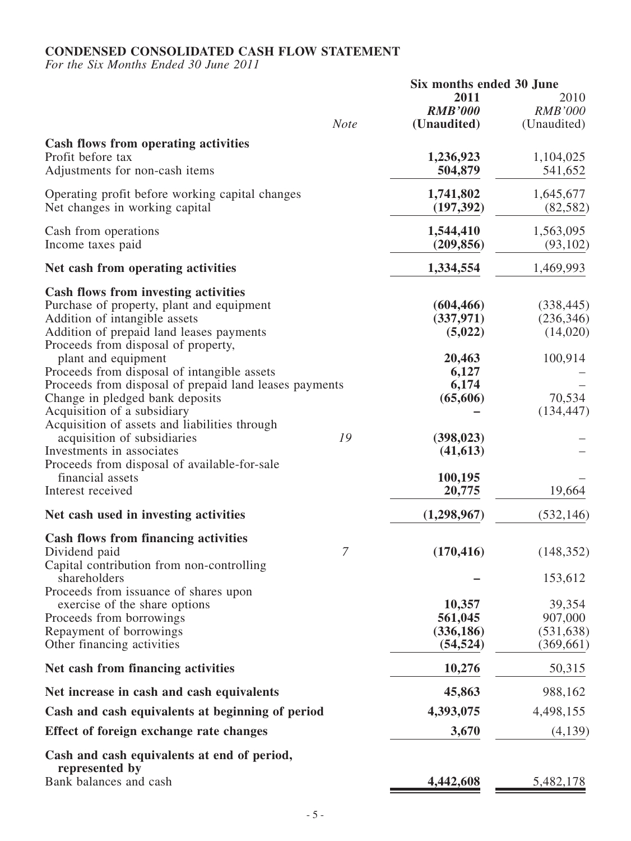## **CONDENSED CONSOLIDATED CASH FLOW STATEMENT**

*For the Six Months Ended 30 June 2011*

|                                                                                                                                                                                                                                                                                                                                                                                                                                                                                                                                                                                                 |                | Six months ended 30 June                                                                                          |                                                                         |  |
|-------------------------------------------------------------------------------------------------------------------------------------------------------------------------------------------------------------------------------------------------------------------------------------------------------------------------------------------------------------------------------------------------------------------------------------------------------------------------------------------------------------------------------------------------------------------------------------------------|----------------|-------------------------------------------------------------------------------------------------------------------|-------------------------------------------------------------------------|--|
|                                                                                                                                                                                                                                                                                                                                                                                                                                                                                                                                                                                                 | <b>Note</b>    | 2011<br><b>RMB'000</b><br>(Unaudited)                                                                             | 2010<br><b>RMB'000</b><br>(Unaudited)                                   |  |
| <b>Cash flows from operating activities</b><br>Profit before tax<br>Adjustments for non-cash items                                                                                                                                                                                                                                                                                                                                                                                                                                                                                              |                | 1,236,923<br>504,879                                                                                              | 1,104,025<br>541,652                                                    |  |
| Operating profit before working capital changes<br>Net changes in working capital                                                                                                                                                                                                                                                                                                                                                                                                                                                                                                               |                | 1,741,802<br>(197, 392)                                                                                           | 1,645,677<br>(82, 582)                                                  |  |
| Cash from operations<br>Income taxes paid                                                                                                                                                                                                                                                                                                                                                                                                                                                                                                                                                       |                | 1,544,410<br>(209, 856)                                                                                           | 1,563,095<br>(93, 102)                                                  |  |
| Net cash from operating activities                                                                                                                                                                                                                                                                                                                                                                                                                                                                                                                                                              |                | 1,334,554                                                                                                         | 1,469,993                                                               |  |
| <b>Cash flows from investing activities</b><br>Purchase of property, plant and equipment<br>Addition of intangible assets<br>Addition of prepaid land leases payments<br>Proceeds from disposal of property,<br>plant and equipment<br>Proceeds from disposal of intangible assets<br>Proceeds from disposal of prepaid land leases payments<br>Change in pledged bank deposits<br>Acquisition of a subsidiary<br>Acquisition of assets and liabilities through<br>acquisition of subsidiaries<br>Investments in associates<br>Proceeds from disposal of available-for-sale<br>financial assets | 19             | (604, 466)<br>(337, 971)<br>(5,022)<br>20,463<br>6,127<br>6,174<br>(65,606)<br>(398, 023)<br>(41, 613)<br>100,195 | (338, 445)<br>(236, 346)<br>(14,020)<br>100,914<br>70,534<br>(134, 447) |  |
| Interest received                                                                                                                                                                                                                                                                                                                                                                                                                                                                                                                                                                               |                | 20,775                                                                                                            | 19,664                                                                  |  |
| Net cash used in investing activities                                                                                                                                                                                                                                                                                                                                                                                                                                                                                                                                                           |                | (1,298,967)                                                                                                       | (532, 146)                                                              |  |
| <b>Cash flows from financing activities</b><br>Dividend paid<br>Capital contribution from non-controlling<br>shareholders<br>Proceeds from issuance of shares upon<br>exercise of the share options<br>Proceeds from borrowings<br>Repayment of borrowings<br>Other financing activities                                                                                                                                                                                                                                                                                                        | $\overline{7}$ | (170, 416)<br>10,357<br>561,045<br>(336, 186)<br>(54, 524)                                                        | (148, 352)<br>153,612<br>39,354<br>907,000<br>(531, 638)<br>(369, 661)  |  |
| Net cash from financing activities                                                                                                                                                                                                                                                                                                                                                                                                                                                                                                                                                              |                | 10,276                                                                                                            | 50,315                                                                  |  |
| Net increase in cash and cash equivalents                                                                                                                                                                                                                                                                                                                                                                                                                                                                                                                                                       |                | 45,863                                                                                                            | 988,162                                                                 |  |
| Cash and cash equivalents at beginning of period                                                                                                                                                                                                                                                                                                                                                                                                                                                                                                                                                |                | 4,393,075                                                                                                         | 4,498,155                                                               |  |
| Effect of foreign exchange rate changes                                                                                                                                                                                                                                                                                                                                                                                                                                                                                                                                                         |                | 3,670                                                                                                             | (4,139)                                                                 |  |
| Cash and cash equivalents at end of period,<br>represented by<br>Bank balances and cash                                                                                                                                                                                                                                                                                                                                                                                                                                                                                                         |                | 4,442,608                                                                                                         | 5,482,178                                                               |  |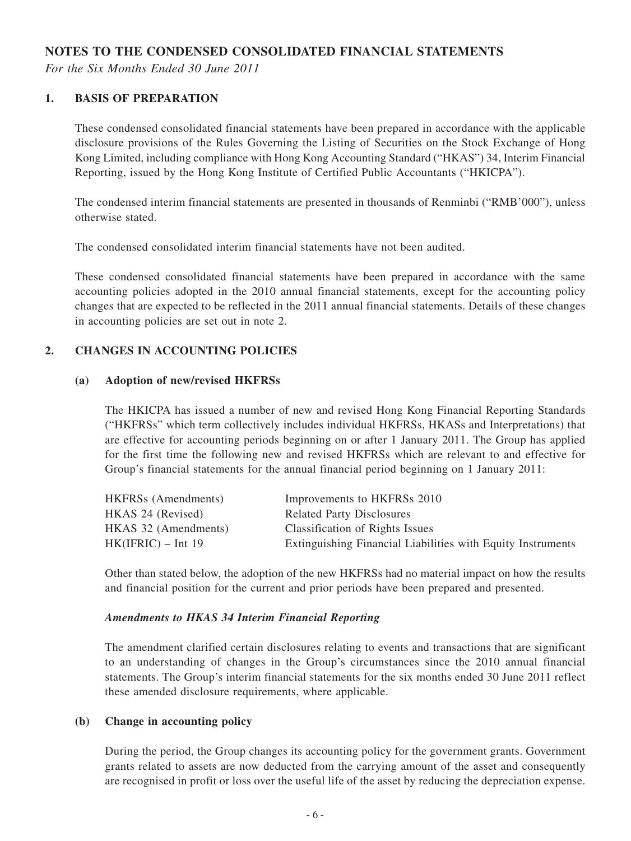### **NOTES TO THE CONDENSED CONSOLIDATED FINANCIAL STATEMENTS**

*For the Six Months Ended 30 June 2011*

### **1. BASIS OF PREPARATION**

These condensed consolidated financial statements have been prepared in accordance with the applicable disclosure provisions of the Rules Governing the Listing of Securities on the Stock Exchange of Hong Kong Limited, including compliance with Hong Kong Accounting Standard ("HKAS") 34, Interim Financial Reporting, issued by the Hong Kong Institute of Certified Public Accountants ("HKICPA").

The condensed interim financial statements are presented in thousands of Renminbi ("RMB'000"), unless otherwise stated.

The condensed consolidated interim financial statements have not been audited.

These condensed consolidated financial statements have been prepared in accordance with the same accounting policies adopted in the 2010 annual financial statements, except for the accounting policy changes that are expected to be reflected in the 2011 annual financial statements. Details of these changes in accounting policies are set out in note 2.

### **2. CHANGES IN ACCOUNTING POLICIES**

#### **(a) Adoption of new/revised HKFRSs**

The HKICPA has issued a number of new and revised Hong Kong Financial Reporting Standards ("HKFRSs" which term collectively includes individual HKFRSs, HKASs and Interpretations) that are effective for accounting periods beginning on or after 1 January 2011. The Group has applied for the first time the following new and revised HKFRSs which are relevant to and effective for Group's financial statements for the annual financial period beginning on 1 January 2011:

| <b>HKFRSs</b> (Amendments) | Improvements to HKFRSs 2010                                 |
|----------------------------|-------------------------------------------------------------|
| HKAS 24 (Revised)          | <b>Related Party Disclosures</b>                            |
| HKAS 32 (Amendments)       | <b>Classification of Rights Issues</b>                      |
| $HK(IFRIC) - Int 19$       | Extinguishing Financial Liabilities with Equity Instruments |
|                            |                                                             |

Other than stated below, the adoption of the new HKFRSs had no material impact on how the results and financial position for the current and prior periods have been prepared and presented.

#### *Amendments to HKAS 34 Interim Financial Reporting*

The amendment clarified certain disclosures relating to events and transactions that are significant to an understanding of changes in the Group's circumstances since the 2010 annual financial statements. The Group's interim financial statements for the six months ended 30 June 2011 reflect these amended disclosure requirements, where applicable.

### **(b) Change in accounting policy**

During the period, the Group changes its accounting policy for the government grants. Government grants related to assets are now deducted from the carrying amount of the asset and consequently are recognised in profit or loss over the useful life of the asset by reducing the depreciation expense.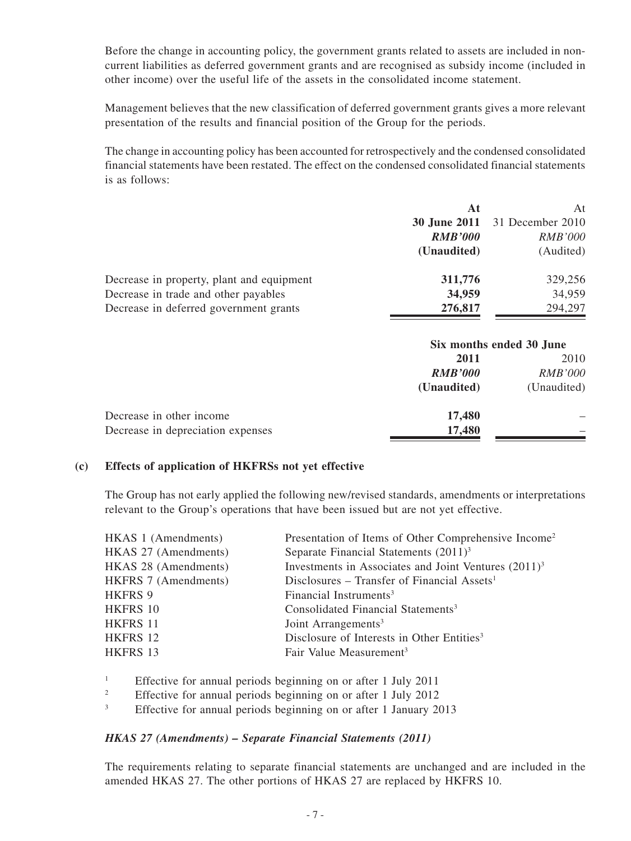Before the change in accounting policy, the government grants related to assets are included in noncurrent liabilities as deferred government grants and are recognised as subsidy income (included in other income) over the useful life of the assets in the consolidated income statement.

Management believes that the new classification of deferred government grants gives a more relevant presentation of the results and financial position of the Group for the periods.

The change in accounting policy has been accounted for retrospectively and the condensed consolidated financial statements have been restated. The effect on the condensed consolidated financial statements is as follows:

|                                           | At                  | At                       |
|-------------------------------------------|---------------------|--------------------------|
|                                           | <b>30 June 2011</b> | 31 December 2010         |
|                                           | <b>RMB'000</b>      | <i>RMB'000</i>           |
|                                           | (Unaudited)         | (Audited)                |
| Decrease in property, plant and equipment | 311,776             | 329,256                  |
| Decrease in trade and other payables      | 34,959              | 34,959                   |
| Decrease in deferred government grants    | 276,817             | 294,297                  |
|                                           |                     | Six months ended 30 June |
|                                           | 2011                | 2010                     |
|                                           | <i>RMB'000</i>      | <i>RMB'000</i>           |

|                                   | (Unaudited) | (Unaudited) |
|-----------------------------------|-------------|-------------|
| Decrease in other income          | 17,480      |             |
| Decrease in depreciation expenses | 17,480      |             |

### **(c) Effects of application of HKFRSs not yet effective**

The Group has not early applied the following new/revised standards, amendments or interpretations relevant to the Group's operations that have been issued but are not yet effective.

| HKAS 1 (Amendments)         | Presentation of Items of Other Comprehensive Income <sup>2</sup> |
|-----------------------------|------------------------------------------------------------------|
| HKAS 27 (Amendments)        | Separate Financial Statements $(2011)^3$                         |
| HKAS 28 (Amendments)        | Investments in Associates and Joint Ventures $(2011)^3$          |
| <b>HKFRS 7 (Amendments)</b> | Disclosures – Transfer of Financial Assets <sup>1</sup>          |
| <b>HKFRS 9</b>              | Financial Instruments <sup>3</sup>                               |
| <b>HKFRS 10</b>             | Consolidated Financial Statements <sup>3</sup>                   |
| HKFRS 11                    | Joint Arrangements <sup>3</sup>                                  |
| HKFRS 12                    | Disclosure of Interests in Other Entities <sup>3</sup>           |
| HKFRS 13                    | Fair Value Measurement <sup>3</sup>                              |
|                             |                                                                  |

<sup>1</sup> Effective for annual periods beginning on or after 1 July 2011<br><sup>2</sup> Effective for annual periods beginning on or after 1 July 2012

<sup>2</sup> Effective for annual periods beginning on or after 1 July 2012

<sup>3</sup> Effective for annual periods beginning on or after 1 January 2013

#### *HKAS 27 (Amendments) – Separate Financial Statements (2011)*

The requirements relating to separate financial statements are unchanged and are included in the amended HKAS 27. The other portions of HKAS 27 are replaced by HKFRS 10.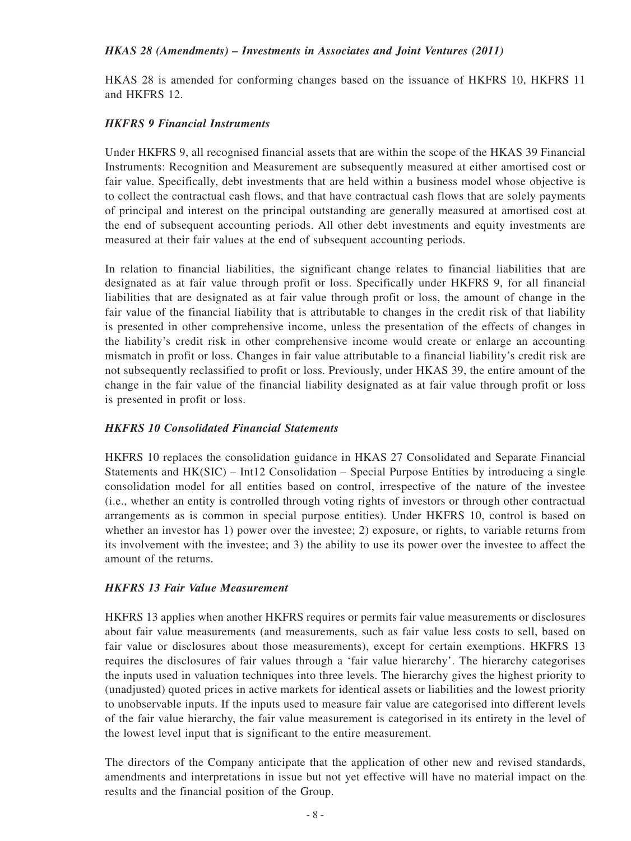### *HKAS 28 (Amendments) – Investments in Associates and Joint Ventures (2011)*

HKAS 28 is amended for conforming changes based on the issuance of HKFRS 10, HKFRS 11 and HKFRS 12.

### *HKFRS 9 Financial Instruments*

Under HKFRS 9, all recognised financial assets that are within the scope of the HKAS 39 Financial Instruments: Recognition and Measurement are subsequently measured at either amortised cost or fair value. Specifically, debt investments that are held within a business model whose objective is to collect the contractual cash flows, and that have contractual cash flows that are solely payments of principal and interest on the principal outstanding are generally measured at amortised cost at the end of subsequent accounting periods. All other debt investments and equity investments are measured at their fair values at the end of subsequent accounting periods.

In relation to financial liabilities, the significant change relates to financial liabilities that are designated as at fair value through profit or loss. Specifically under HKFRS 9, for all financial liabilities that are designated as at fair value through profit or loss, the amount of change in the fair value of the financial liability that is attributable to changes in the credit risk of that liability is presented in other comprehensive income, unless the presentation of the effects of changes in the liability's credit risk in other comprehensive income would create or enlarge an accounting mismatch in profit or loss. Changes in fair value attributable to a financial liability's credit risk are not subsequently reclassified to profit or loss. Previously, under HKAS 39, the entire amount of the change in the fair value of the financial liability designated as at fair value through profit or loss is presented in profit or loss.

### *HKFRS 10 Consolidated Financial Statements*

HKFRS 10 replaces the consolidation guidance in HKAS 27 Consolidated and Separate Financial Statements and HK(SIC) – Int12 Consolidation – Special Purpose Entities by introducing a single consolidation model for all entities based on control, irrespective of the nature of the investee (i.e., whether an entity is controlled through voting rights of investors or through other contractual arrangements as is common in special purpose entities). Under HKFRS 10, control is based on whether an investor has 1) power over the investee; 2) exposure, or rights, to variable returns from its involvement with the investee; and 3) the ability to use its power over the investee to affect the amount of the returns.

### *HKFRS 13 Fair Value Measurement*

HKFRS 13 applies when another HKFRS requires or permits fair value measurements or disclosures about fair value measurements (and measurements, such as fair value less costs to sell, based on fair value or disclosures about those measurements), except for certain exemptions. HKFRS 13 requires the disclosures of fair values through a 'fair value hierarchy'. The hierarchy categorises the inputs used in valuation techniques into three levels. The hierarchy gives the highest priority to (unadjusted) quoted prices in active markets for identical assets or liabilities and the lowest priority to unobservable inputs. If the inputs used to measure fair value are categorised into different levels of the fair value hierarchy, the fair value measurement is categorised in its entirety in the level of the lowest level input that is significant to the entire measurement.

The directors of the Company anticipate that the application of other new and revised standards, amendments and interpretations in issue but not yet effective will have no material impact on the results and the financial position of the Group.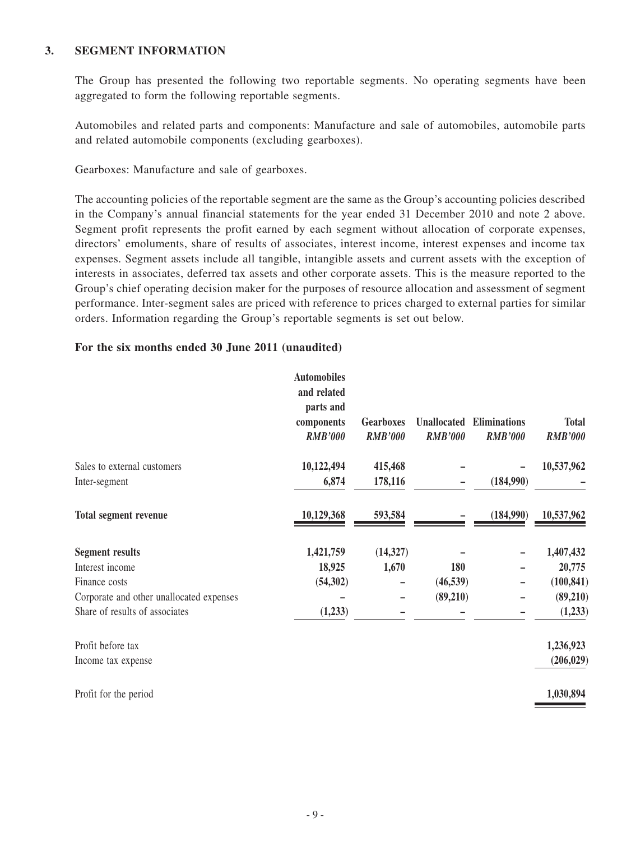### **3. SEGMENT INFORMATION**

The Group has presented the following two reportable segments. No operating segments have been aggregated to form the following reportable segments.

Automobiles and related parts and components: Manufacture and sale of automobiles, automobile parts and related automobile components (excluding gearboxes).

Gearboxes: Manufacture and sale of gearboxes.

The accounting policies of the reportable segment are the same as the Group's accounting policies described in the Company's annual financial statements for the year ended 31 December 2010 and note 2 above. Segment profit represents the profit earned by each segment without allocation of corporate expenses, directors' emoluments, share of results of associates, interest income, interest expenses and income tax expenses. Segment assets include all tangible, intangible assets and current assets with the exception of interests in associates, deferred tax assets and other corporate assets. This is the measure reported to the Group's chief operating decision maker for the purposes of resource allocation and assessment of segment performance. Inter-segment sales are priced with reference to prices charged to external parties for similar orders. Information regarding the Group's reportable segments is set out below.

### **For the six months ended 30 June 2011 (unaudited)**

|                                          | <b>Automobiles</b><br>and related<br>parts and |                  |                    |                     |                |
|------------------------------------------|------------------------------------------------|------------------|--------------------|---------------------|----------------|
|                                          | components                                     | <b>Gearboxes</b> | <b>Unallocated</b> | <b>Eliminations</b> | <b>Total</b>   |
|                                          | <b>RMB'000</b>                                 | <b>RMB'000</b>   | <b>RMB'000</b>     | <b>RMB'000</b>      | <b>RMB'000</b> |
| Sales to external customers              | 10,122,494                                     | 415,468          |                    |                     | 10,537,962     |
| Inter-segment                            | 6,874                                          | 178,116          |                    | (184,990)           |                |
| <b>Total segment revenue</b>             | 10,129,368                                     | 593,584          |                    | (184,990)           | 10,537,962     |
| <b>Segment results</b>                   | 1,421,759                                      | (14, 327)        |                    |                     | 1,407,432      |
| Interest income                          | 18,925                                         | 1,670            | 180                |                     | 20,775         |
| Finance costs                            | (54,302)                                       |                  | (46, 539)          |                     | (100, 841)     |
| Corporate and other unallocated expenses |                                                |                  | (89,210)           |                     | (89,210)       |
| Share of results of associates           | (1,233)                                        |                  |                    |                     | (1,233)        |
| Profit before tax                        |                                                |                  |                    |                     | 1,236,923      |
| Income tax expense                       |                                                |                  |                    |                     | (206, 029)     |
| Profit for the period                    |                                                |                  |                    |                     | 1,030,894      |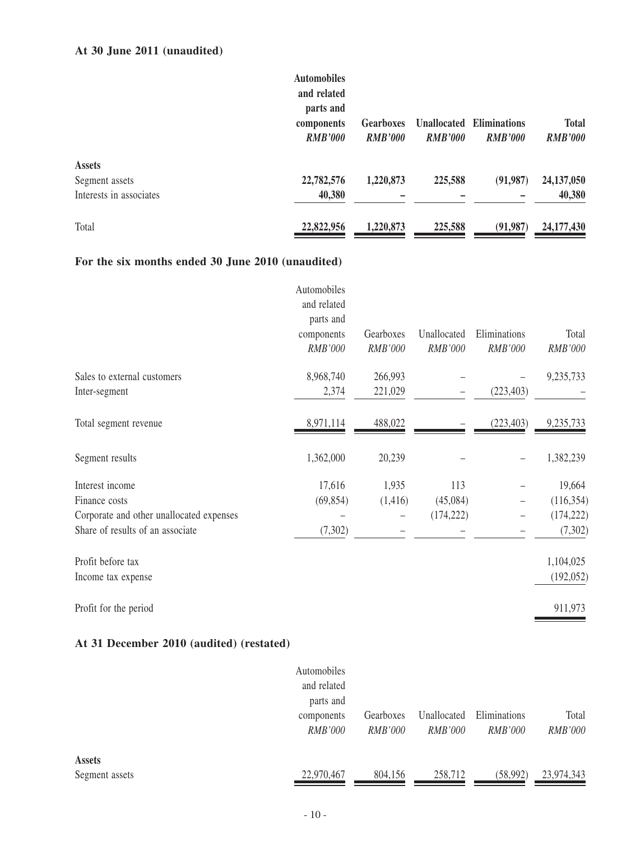## **At 30 June 2011 (unaudited)**

|                         | <b>Automobiles</b> |                  |                    |                     |                |
|-------------------------|--------------------|------------------|--------------------|---------------------|----------------|
|                         | and related        |                  |                    |                     |                |
|                         | parts and          |                  |                    |                     |                |
|                         | components         | <b>Gearboxes</b> | <b>Unallocated</b> | <b>Eliminations</b> | <b>Total</b>   |
|                         | <b>RMB'000</b>     | <b>RMB'000</b>   | <b>RMB'000</b>     | <b>RMB'000</b>      | <b>RMB'000</b> |
| <b>Assets</b>           |                    |                  |                    |                     |                |
| Segment assets          | 22,782,576         | 1,220,873        | 225,588            | (91, 987)           | 24,137,050     |
| Interests in associates | 40,380             |                  |                    |                     | 40,380         |
| Total                   | 22,822,956         | 1,220,873        | 225,588            | (91, 987)           | 24, 177, 430   |

### **For the six months ended 30 June 2010 (unaudited)**

| parts and  |                            |                |                |                |
|------------|----------------------------|----------------|----------------|----------------|
| components | Gearboxes                  | Unallocated    | Eliminations   | Total          |
| RMB'000    | <b>RMB'000</b>             | <b>RMB'000</b> | <b>RMB'000</b> | <b>RMB'000</b> |
| 8,968,740  | 266,993                    |                |                | 9,235,733      |
| 2,374      | 221,029                    |                | (223, 403)     |                |
| 8,971,114  | 488,022                    |                | (223, 403)     | 9,235,733      |
| 1,362,000  | 20,239                     |                |                | 1,382,239      |
| 17,616     | 1,935                      | 113            |                | 19,664         |
| (69, 854)  | (1,416)                    | (45,084)       |                | (116, 354)     |
|            |                            | (174, 222)     |                | (174, 222)     |
| (7,302)    |                            |                |                | (7,302)        |
|            |                            |                |                | 1,104,025      |
|            |                            |                |                | (192, 052)     |
|            |                            |                |                | 911,973        |
|            | Automobiles<br>and related |                |                |                |

### **At 31 December 2010 (audited) (restated)**

|                | Automobiles    |                |                |                |                |
|----------------|----------------|----------------|----------------|----------------|----------------|
|                | and related    |                |                |                |                |
|                | parts and      |                |                |                |                |
|                | components     | Gearboxes      | Unallocated    | Eliminations   | Total          |
|                | <i>RMB'000</i> | <i>RMB'000</i> | <i>RMB'000</i> | <i>RMB'000</i> | <i>RMB'000</i> |
|                |                |                |                |                |                |
| <b>Assets</b>  |                |                |                |                |                |
| Segment assets | 22,970,467     | 804,156        | 258,712        | (58,992)       | 23,974,343     |
|                |                |                |                |                |                |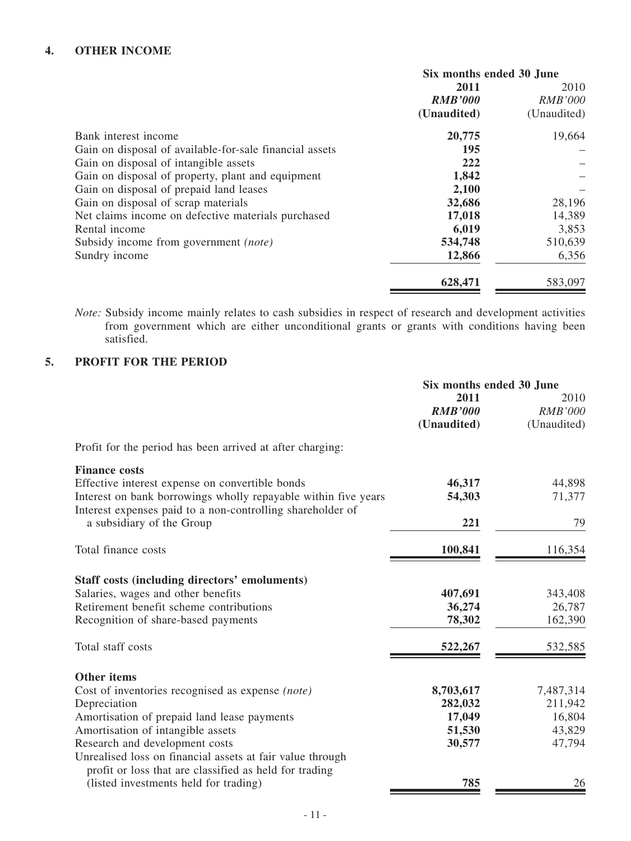### **4. OTHER INCOME**

|                                                         | Six months ended 30 June |                |
|---------------------------------------------------------|--------------------------|----------------|
|                                                         | 2011                     | 2010           |
|                                                         | <b>RMB'000</b>           | <b>RMB'000</b> |
|                                                         | (Unaudited)              | (Unaudited)    |
| Bank interest income                                    | 20,775                   | 19,664         |
| Gain on disposal of available-for-sale financial assets | 195                      |                |
| Gain on disposal of intangible assets                   | 222                      |                |
| Gain on disposal of property, plant and equipment       | 1,842                    |                |
| Gain on disposal of prepaid land leases                 | 2,100                    |                |
| Gain on disposal of scrap materials                     | 32,686                   | 28,196         |
| Net claims income on defective materials purchased      | 17,018                   | 14,389         |
| Rental income                                           | 6,019                    | 3,853          |
| Subsidy income from government <i>(note)</i>            | 534,748                  | 510,639        |
| Sundry income                                           | 12,866                   | 6,356          |
|                                                         | 628,471                  | 583,097        |
|                                                         |                          |                |

*Note:* Subsidy income mainly relates to cash subsidies in respect of research and development activities from government which are either unconditional grants or grants with conditions having been satisfied.

### **5. PROFIT FOR THE PERIOD**

|                                                                                                                              | Six months ended 30 June |                |
|------------------------------------------------------------------------------------------------------------------------------|--------------------------|----------------|
|                                                                                                                              | 2011                     | 2010           |
|                                                                                                                              | <b>RMB'000</b>           | <b>RMB'000</b> |
|                                                                                                                              | (Unaudited)              | (Unaudited)    |
| Profit for the period has been arrived at after charging:                                                                    |                          |                |
| <b>Finance costs</b>                                                                                                         |                          |                |
| Effective interest expense on convertible bonds                                                                              | 46,317                   | 44,898         |
| Interest on bank borrowings wholly repayable within five years<br>Interest expenses paid to a non-controlling shareholder of | 54,303                   | 71,377         |
| a subsidiary of the Group                                                                                                    | 221                      | 79             |
| Total finance costs                                                                                                          | 100,841                  | 116,354        |
| Staff costs (including directors' emoluments)                                                                                |                          |                |
| Salaries, wages and other benefits                                                                                           | 407,691                  | 343,408        |
| Retirement benefit scheme contributions                                                                                      | 36,274                   | 26,787         |
| Recognition of share-based payments                                                                                          | 78,302                   | 162,390        |
| Total staff costs                                                                                                            | 522,267                  | 532,585        |
| <b>Other items</b>                                                                                                           |                          |                |
| Cost of inventories recognised as expense (note)                                                                             | 8,703,617                | 7,487,314      |
| Depreciation                                                                                                                 | 282,032                  | 211,942        |
| Amortisation of prepaid land lease payments                                                                                  | 17,049                   | 16,804         |
| Amortisation of intangible assets                                                                                            | 51,530                   | 43,829         |
| Research and development costs                                                                                               | 30,577                   | 47,794         |
| Unrealised loss on financial assets at fair value through                                                                    |                          |                |
| profit or loss that are classified as held for trading                                                                       |                          |                |
| (listed investments held for trading)                                                                                        | 785                      | 26             |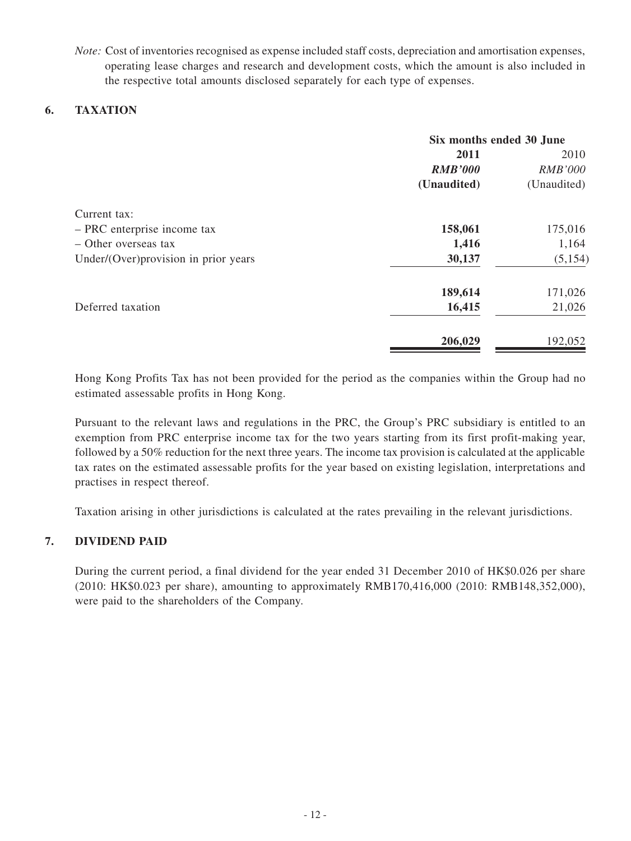*Note:* Cost of inventories recognised as expense included staff costs, depreciation and amortisation expenses, operating lease charges and research and development costs, which the amount is also included in the respective total amounts disclosed separately for each type of expenses.

### **6. TAXATION**

|                                       | Six months ended 30 June |                |
|---------------------------------------|--------------------------|----------------|
|                                       | 2011                     | 2010           |
|                                       | <b>RMB'000</b>           | <b>RMB'000</b> |
|                                       | (Unaudited)              | (Unaudited)    |
| Current tax:                          |                          |                |
| - PRC enterprise income tax           | 158,061                  | 175,016        |
| - Other overseas tax                  | 1,416                    | 1,164          |
| Under/(Over) provision in prior years | 30,137                   | (5, 154)       |
|                                       | 189,614                  | 171,026        |
| Deferred taxation                     | 16,415                   | 21,026         |
|                                       | 206,029                  | 192,052        |
|                                       |                          |                |

Hong Kong Profits Tax has not been provided for the period as the companies within the Group had no estimated assessable profits in Hong Kong.

Pursuant to the relevant laws and regulations in the PRC, the Group's PRC subsidiary is entitled to an exemption from PRC enterprise income tax for the two years starting from its first profit-making year, followed by a 50% reduction for the next three years. The income tax provision is calculated at the applicable tax rates on the estimated assessable profits for the year based on existing legislation, interpretations and practises in respect thereof.

Taxation arising in other jurisdictions is calculated at the rates prevailing in the relevant jurisdictions.

### **7. DIVIDEND PAID**

During the current period, a final dividend for the year ended 31 December 2010 of HK\$0.026 per share (2010: HK\$0.023 per share), amounting to approximately RMB170,416,000 (2010: RMB148,352,000), were paid to the shareholders of the Company.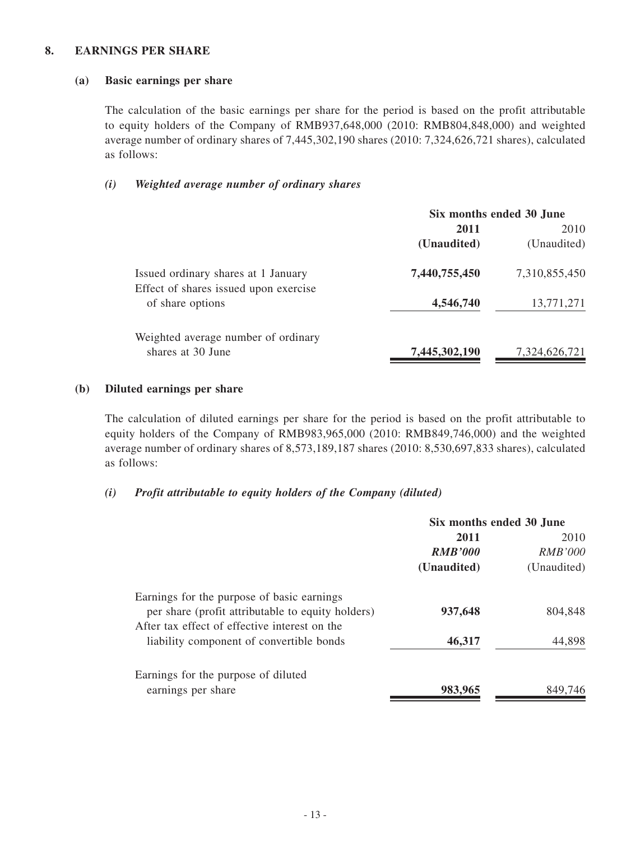#### **8. EARNINGS PER SHARE**

### **(a) Basic earnings per share**

The calculation of the basic earnings per share for the period is based on the profit attributable to equity holders of the Company of RMB937,648,000 (2010: RMB804,848,000) and weighted average number of ordinary shares of 7,445,302,190 shares (2010: 7,324,626,721 shares), calculated as follows:

### *(i) Weighted average number of ordinary shares*

|                                                                              | Six months ended 30 June |               |
|------------------------------------------------------------------------------|--------------------------|---------------|
|                                                                              | 2011                     | 2010          |
|                                                                              | (Unaudited)              | (Unaudited)   |
| Issued ordinary shares at 1 January<br>Effect of shares issued upon exercise | 7,440,755,450            | 7,310,855,450 |
| of share options                                                             | 4,546,740                | 13,771,271    |
| Weighted average number of ordinary                                          |                          |               |
| shares at 30 June                                                            | 7,445,302,190            | 7,324,626,721 |

### **(b) Diluted earnings per share**

The calculation of diluted earnings per share for the period is based on the profit attributable to equity holders of the Company of RMB983,965,000 (2010: RMB849,746,000) and the weighted average number of ordinary shares of 8,573,189,187 shares (2010: 8,530,697,833 shares), calculated as follows:

### *(i) Profit attributable to equity holders of the Company (diluted)*

|                                                                                                                                                  | Six months ended 30 June |                |
|--------------------------------------------------------------------------------------------------------------------------------------------------|--------------------------|----------------|
|                                                                                                                                                  | 2011                     | 2010           |
|                                                                                                                                                  | <b>RMB'000</b>           | <i>RMB'000</i> |
|                                                                                                                                                  | (Unaudited)              | (Unaudited)    |
| Earnings for the purpose of basic earnings<br>per share (profit attributable to equity holders)<br>After tax effect of effective interest on the | 937,648                  | 804,848        |
| liability component of convertible bonds                                                                                                         | 46,317                   | 44,898         |
| Earnings for the purpose of diluted<br>earnings per share                                                                                        | 983,965                  | 849.746        |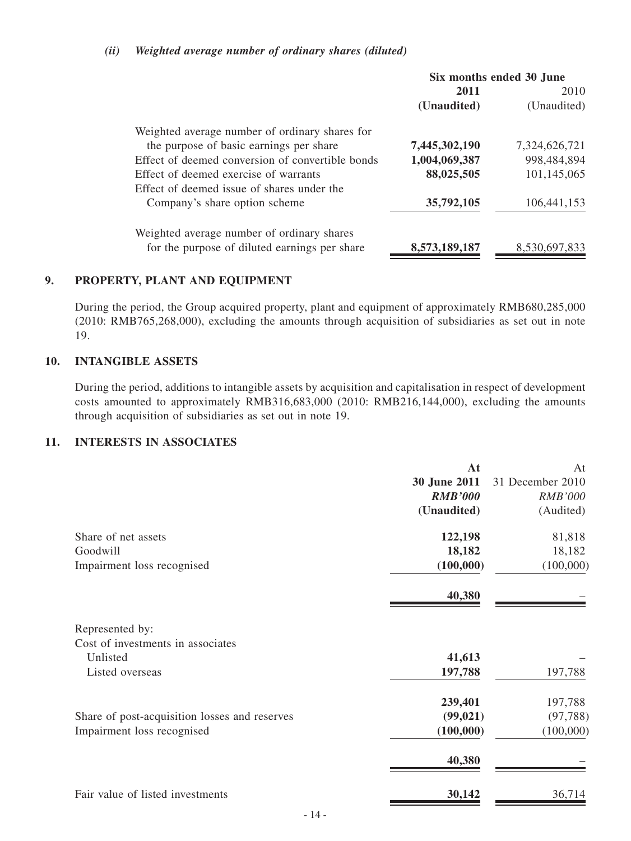### *(ii) Weighted average number of ordinary shares (diluted)*

|                                                  | Six months ended 30 June |               |  |
|--------------------------------------------------|--------------------------|---------------|--|
|                                                  | 2011                     | 2010          |  |
|                                                  | (Unaudited)              | (Unaudited)   |  |
| Weighted average number of ordinary shares for   |                          |               |  |
| the purpose of basic earnings per share          | 7,445,302,190            | 7,324,626,721 |  |
| Effect of deemed conversion of convertible bonds | 1,004,069,387            | 998,484,894   |  |
| Effect of deemed exercise of warrants            | 88,025,505               | 101,145,065   |  |
| Effect of deemed issue of shares under the       |                          |               |  |
| Company's share option scheme                    | 35,792,105               | 106,441,153   |  |
| Weighted average number of ordinary shares       |                          |               |  |
| for the purpose of diluted earnings per share    | 8,573,189,187            | 8.530.697.833 |  |

### **9. PROPERTY, PLANT AND EQUIPMENT**

During the period, the Group acquired property, plant and equipment of approximately RMB680,285,000 (2010: RMB765,268,000), excluding the amounts through acquisition of subsidiaries as set out in note 19.

### **10. INTANGIBLE ASSETS**

During the period, additions to intangible assets by acquisition and capitalisation in respect of development costs amounted to approximately RMB316,683,000 (2010: RMB216,144,000), excluding the amounts through acquisition of subsidiaries as set out in note 19.

### **11. Interests IN Associates**

|                                               | At             | At               |
|-----------------------------------------------|----------------|------------------|
|                                               | 30 June 2011   | 31 December 2010 |
|                                               | <b>RMB'000</b> | <b>RMB'000</b>   |
|                                               | (Unaudited)    | (Audited)        |
| Share of net assets                           | 122,198        | 81,818           |
| Goodwill                                      | 18,182         | 18,182           |
| Impairment loss recognised                    | (100,000)      | (100,000)        |
|                                               | 40,380         |                  |
| Represented by:                               |                |                  |
| Cost of investments in associates             |                |                  |
| Unlisted                                      | 41,613         |                  |
| Listed overseas                               | 197,788        | 197,788          |
|                                               | 239,401        | 197,788          |
| Share of post-acquisition losses and reserves | (99, 021)      | (97, 788)        |
| Impairment loss recognised                    | (100,000)      | (100,000)        |
|                                               | 40,380         |                  |
| Fair value of listed investments              | 30,142         | 36,714           |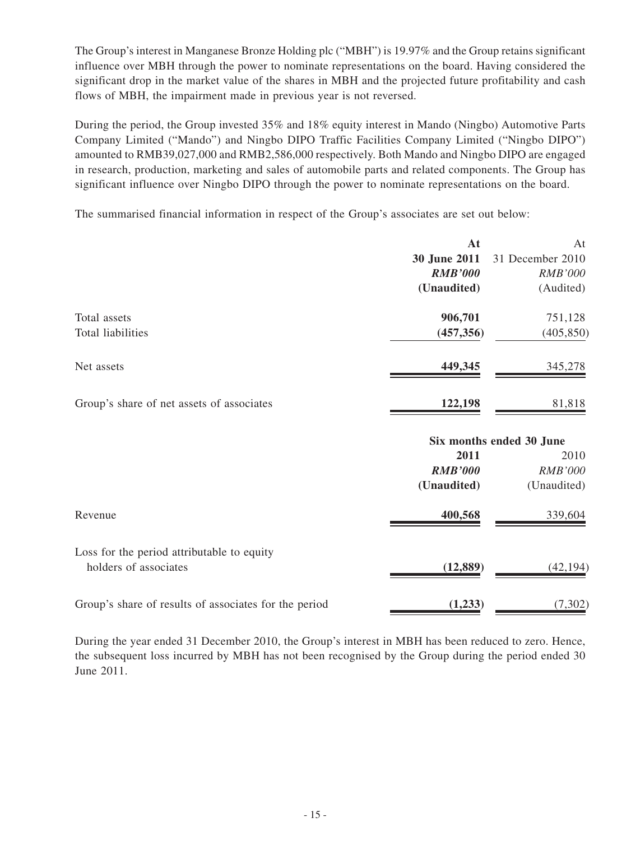The Group's interest in Manganese Bronze Holding plc ("MBH") is 19.97% and the Group retains significant influence over MBH through the power to nominate representations on the board. Having considered the significant drop in the market value of the shares in MBH and the projected future profitability and cash flows of MBH, the impairment made in previous year is not reversed.

During the period, the Group invested 35% and 18% equity interest in Mando (Ningbo) Automotive Parts Company Limited ("Mando") and Ningbo DIPO Traffic Facilities Company Limited ("Ningbo DIPO") amounted to RMB39,027,000 and RMB2,586,000 respectively. Both Mando and Ningbo DIPO are engaged in research, production, marketing and sales of automobile parts and related components. The Group has significant influence over Ningbo DIPO through the power to nominate representations on the board.

The summarised financial information in respect of the Group's associates are set out below:

| At             | At                       |
|----------------|--------------------------|
| 30 June 2011   | 31 December 2010         |
| <b>RMB'000</b> | <b>RMB'000</b>           |
| (Unaudited)    | (Audited)                |
| 906,701        | 751,128                  |
| (457, 356)     | (405, 850)               |
| 449,345        | 345,278                  |
| 122,198        | 81,818                   |
|                | Six months ended 30 June |
| 2011           | 2010                     |
| <b>RMB'000</b> | <b>RMB'000</b>           |
| (Unaudited)    | (Unaudited)              |
| 400,568        | 339,604                  |
|                |                          |
| (12, 889)      | (42, 194)                |
| (1,233)        | (7, 302)                 |
|                |                          |

During the year ended 31 December 2010, the Group's interest in MBH has been reduced to zero. Hence, the subsequent loss incurred by MBH has not been recognised by the Group during the period ended 30 June 2011.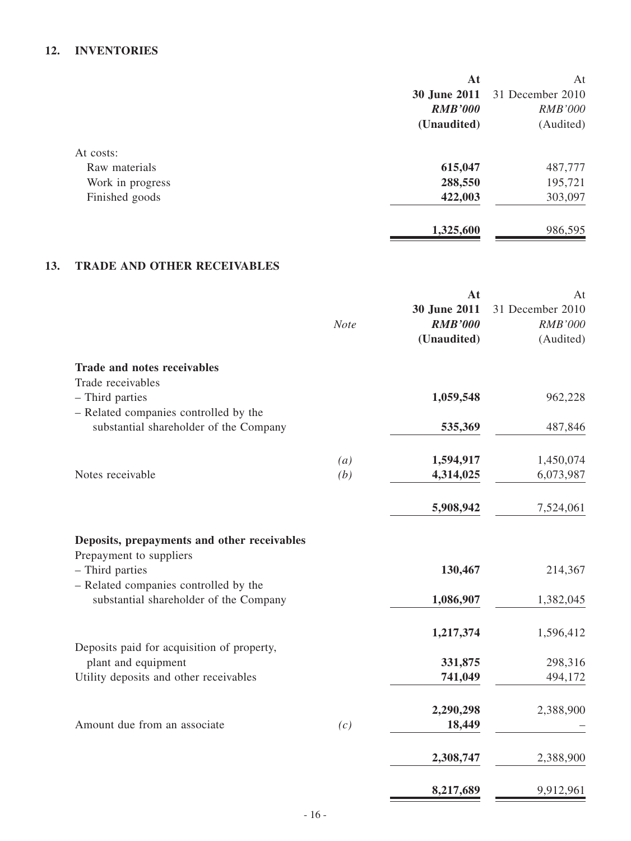## **12. INVENTORIES**

|                  | At             | At               |
|------------------|----------------|------------------|
|                  | 30 June 2011   | 31 December 2010 |
|                  | <b>RMB'000</b> | <b>RMB'000</b>   |
|                  | (Unaudited)    | (Audited)        |
| At costs:        |                |                  |
| Raw materials    | 615,047        | 487,777          |
| Work in progress | 288,550        | 195,721          |
| Finished goods   | 422,003        | 303,097          |
|                  | 1,325,600      | 986,595          |

## **13. TRADE AND OTHER RECEIVABLES**

|                                                                        |                   | At             | At               |
|------------------------------------------------------------------------|-------------------|----------------|------------------|
|                                                                        |                   | 30 June 2011   | 31 December 2010 |
|                                                                        | <b>Note</b>       | <b>RMB'000</b> | <b>RMB'000</b>   |
|                                                                        |                   | (Unaudited)    | (Audited)        |
| <b>Trade and notes receivables</b>                                     |                   |                |                  |
| Trade receivables                                                      |                   |                |                  |
| - Third parties                                                        |                   | 1,059,548      | 962,228          |
| - Related companies controlled by the                                  |                   |                |                  |
| substantial shareholder of the Company                                 |                   | 535,369        | 487,846          |
|                                                                        | $\left( a\right)$ | 1,594,917      | 1,450,074        |
| Notes receivable                                                       | (b)               | 4,314,025      | 6,073,987        |
|                                                                        |                   |                |                  |
|                                                                        |                   | 5,908,942      | 7,524,061        |
| Deposits, prepayments and other receivables<br>Prepayment to suppliers |                   |                |                  |
| - Third parties                                                        |                   | 130,467        | 214,367          |
| - Related companies controlled by the                                  |                   |                |                  |
| substantial shareholder of the Company                                 |                   | 1,086,907      | 1,382,045        |
|                                                                        |                   | 1,217,374      | 1,596,412        |
| Deposits paid for acquisition of property,                             |                   |                |                  |
| plant and equipment                                                    |                   | 331,875        | 298,316          |
| Utility deposits and other receivables                                 |                   | 741,049        | 494,172          |
|                                                                        |                   | 2,290,298      | 2,388,900        |
| Amount due from an associate                                           | (c)               | 18,449         |                  |
|                                                                        |                   |                |                  |
|                                                                        |                   | 2,308,747      | 2,388,900        |
|                                                                        |                   | 8,217,689      | 9,912,961        |
|                                                                        |                   |                |                  |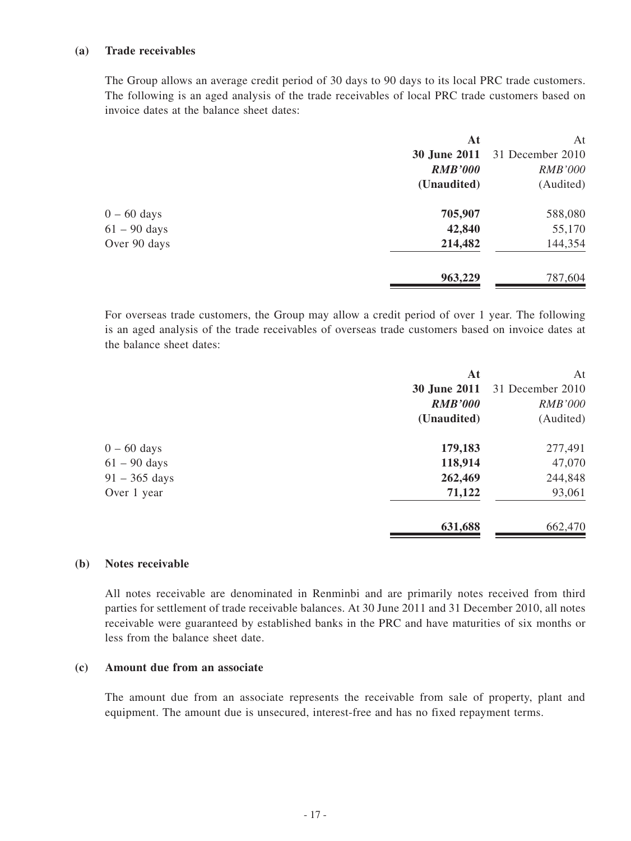#### **(a) Trade receivables**

The Group allows an average credit period of 30 days to 90 days to its local PRC trade customers. The following is an aged analysis of the trade receivables of local PRC trade customers based on invoice dates at the balance sheet dates:

|                | At                  | At               |
|----------------|---------------------|------------------|
|                | <b>30 June 2011</b> | 31 December 2010 |
|                | <b>RMB'000</b>      | <b>RMB'000</b>   |
|                | (Unaudited)         | (Audited)        |
| $0 - 60$ days  | 705,907             | 588,080          |
| $61 - 90$ days | 42,840              | 55,170           |
| Over 90 days   | 214,482             | 144,354          |
|                | 963,229             | 787,604          |

For overseas trade customers, the Group may allow a credit period of over 1 year. The following is an aged analysis of the trade receivables of overseas trade customers based on invoice dates at the balance sheet dates:

|                         | At                  | At               |
|-------------------------|---------------------|------------------|
|                         | <b>30 June 2011</b> | 31 December 2010 |
|                         | <b>RMB'000</b>      | <b>RMB'000</b>   |
|                         | (Unaudited)         | (Audited)        |
| $0 - 60$ days           | 179,183             | 277,491          |
| $61 - 90$ days          | 118,914             | 47,070           |
| $91 - 365 \text{ days}$ | 262,469             | 244,848          |
| Over 1 year             | 71,122              | 93,061           |
|                         | 631,688             | 662,470          |
|                         |                     |                  |

#### **(b) Notes receivable**

All notes receivable are denominated in Renminbi and are primarily notes received from third parties for settlement of trade receivable balances. At 30 June 2011 and 31 December 2010, all notes receivable were guaranteed by established banks in the PRC and have maturities of six months or less from the balance sheet date.

### **(c) Amount due from an associate**

The amount due from an associate represents the receivable from sale of property, plant and equipment. The amount due is unsecured, interest-free and has no fixed repayment terms.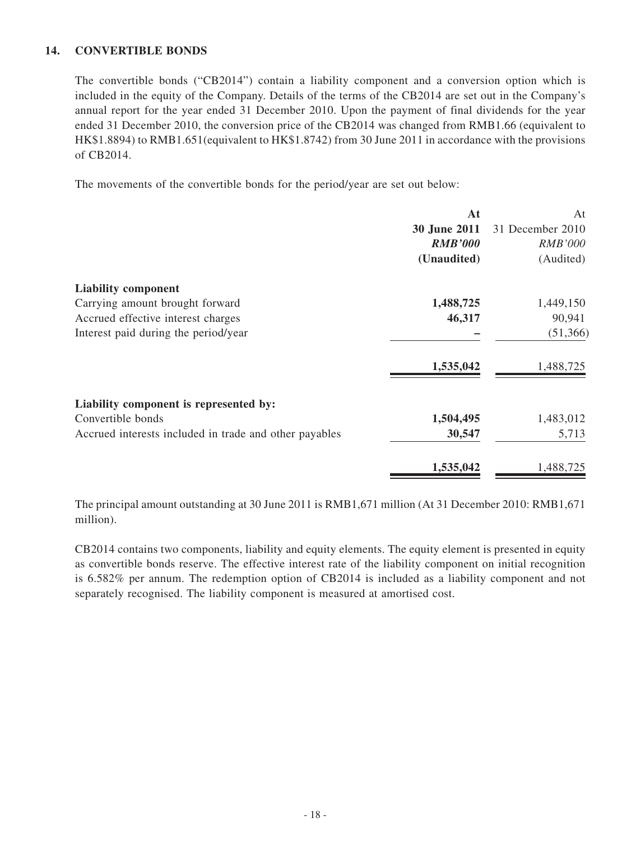### **14. CONVERTIBLE BONDS**

The convertible bonds ("CB2014") contain a liability component and a conversion option which is included in the equity of the Company. Details of the terms of the CB2014 are set out in the Company's annual report for the year ended 31 December 2010. Upon the payment of final dividends for the year ended 31 December 2010, the conversion price of the CB2014 was changed from RMB1.66 (equivalent to HK\$1.8894) to RMB1.651(equivalent to HK\$1.8742) from 30 June 2011 in accordance with the provisions of CB2014.

The movements of the convertible bonds for the period/year are set out below:

| 31 December 2010 |
|------------------|
|                  |
| <b>RMB'000</b>   |
| (Audited)        |
|                  |
| 1,449,150        |
| 90,941           |
| (51, 366)        |
| 1,488,725        |
|                  |
| 1,483,012        |
| 5,713            |
| 1,488,725        |
|                  |

The principal amount outstanding at 30 June 2011 is RMB1,671 million (At 31 December 2010: RMB1,671 million).

CB2014 contains two components, liability and equity elements. The equity element is presented in equity as convertible bonds reserve. The effective interest rate of the liability component on initial recognition is 6.582% per annum. The redemption option of CB2014 is included as a liability component and not separately recognised. The liability component is measured at amortised cost.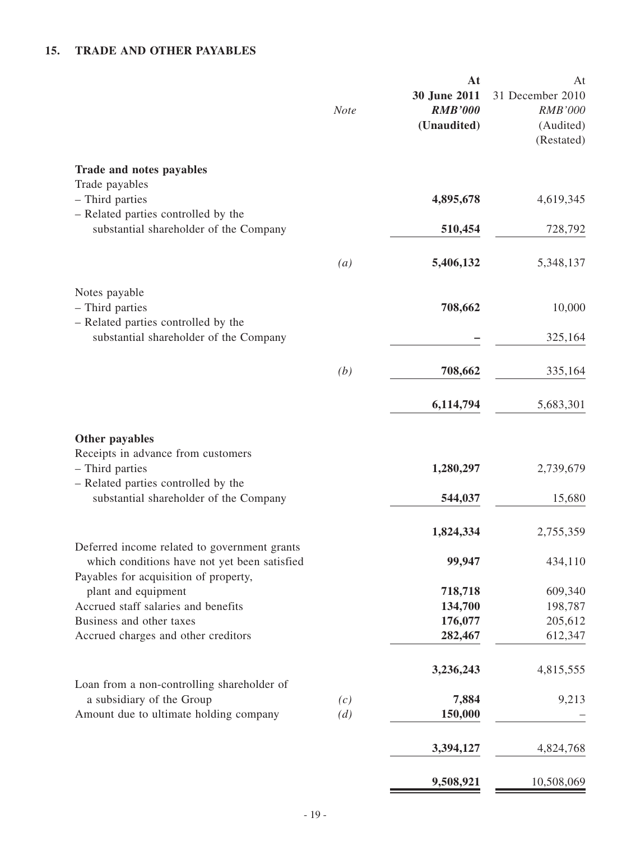## **15. TRADE AND OTHER PAYABLES**

|                                                                                                                                                          | <b>Note</b>       | At<br>30 June 2011<br><b>RMB'000</b><br>(Unaudited) | At<br>31 December 2010<br><b>RMB'000</b><br>(Audited)<br>(Restated) |
|----------------------------------------------------------------------------------------------------------------------------------------------------------|-------------------|-----------------------------------------------------|---------------------------------------------------------------------|
| Trade and notes payables<br>Trade payables                                                                                                               |                   |                                                     |                                                                     |
| - Third parties<br>- Related parties controlled by the                                                                                                   |                   | 4,895,678                                           | 4,619,345                                                           |
| substantial shareholder of the Company                                                                                                                   |                   | 510,454                                             | 728,792                                                             |
|                                                                                                                                                          | $\left( a\right)$ | 5,406,132                                           | 5,348,137                                                           |
| Notes payable<br>- Third parties                                                                                                                         |                   | 708,662                                             | 10,000                                                              |
| - Related parties controlled by the<br>substantial shareholder of the Company                                                                            |                   |                                                     | 325,164                                                             |
|                                                                                                                                                          | (b)               | 708,662                                             | 335,164                                                             |
|                                                                                                                                                          |                   | 6,114,794                                           | 5,683,301                                                           |
| Other payables<br>Receipts in advance from customers<br>- Third parties<br>- Related parties controlled by the<br>substantial shareholder of the Company |                   | 1,280,297<br>544,037                                | 2,739,679<br>15,680                                                 |
| Deferred income related to government grants                                                                                                             |                   | 1,824,334                                           | 2,755,359                                                           |
| which conditions have not yet been satisfied<br>Payables for acquisition of property,                                                                    |                   | 99,947                                              | 434,110                                                             |
| plant and equipment                                                                                                                                      |                   | 718,718                                             | 609,340                                                             |
| Accrued staff salaries and benefits                                                                                                                      |                   | 134,700                                             | 198,787                                                             |
| Business and other taxes<br>Accrued charges and other creditors                                                                                          |                   | 176,077<br>282,467                                  | 205,612<br>612,347                                                  |
|                                                                                                                                                          |                   | 3,236,243                                           | 4,815,555                                                           |
| Loan from a non-controlling shareholder of<br>a subsidiary of the Group                                                                                  | (c)               | 7,884                                               | 9,213                                                               |
| Amount due to ultimate holding company                                                                                                                   | (d)               | 150,000                                             |                                                                     |
|                                                                                                                                                          |                   | 3,394,127                                           | 4,824,768                                                           |
|                                                                                                                                                          |                   | 9,508,921                                           | 10,508,069                                                          |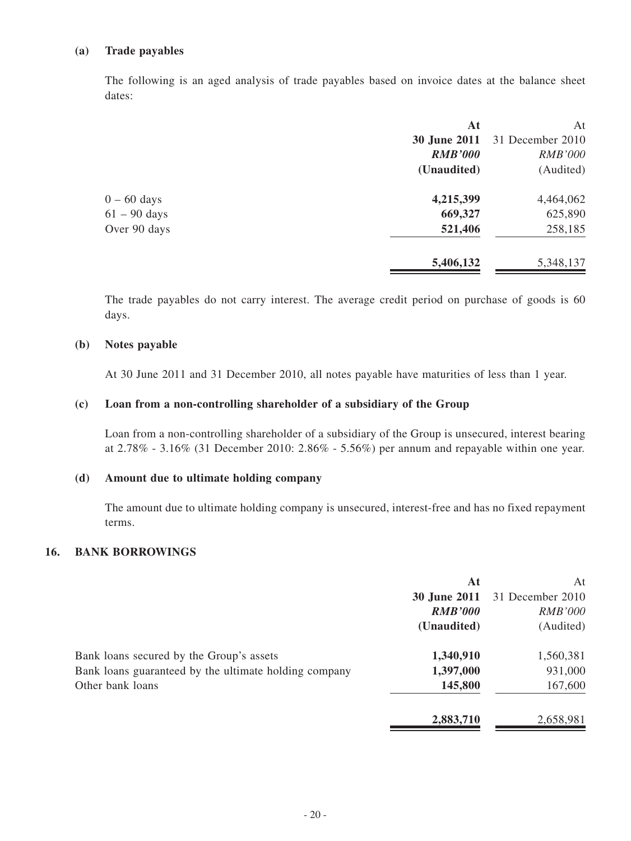### **(a) Trade payables**

The following is an aged analysis of trade payables based on invoice dates at the balance sheet dates:

|                | At                  | At               |
|----------------|---------------------|------------------|
|                | <b>30 June 2011</b> | 31 December 2010 |
|                | <b>RMB'000</b>      | <b>RMB'000</b>   |
|                | (Unaudited)         | (Audited)        |
| $0 - 60$ days  | 4,215,399           | 4,464,062        |
| $61 - 90$ days | 669,327             | 625,890          |
| Over 90 days   | 521,406             | 258,185          |
|                | 5,406,132           | 5,348,137        |
|                |                     |                  |

The trade payables do not carry interest. The average credit period on purchase of goods is 60 days.

#### **(b) Notes payable**

At 30 June 2011 and 31 December 2010, all notes payable have maturities of less than 1 year.

#### **(c) Loan from a non-controlling shareholder of a subsidiary of the Group**

Loan from a non-controlling shareholder of a subsidiary of the Group is unsecured, interest bearing at 2.78% - 3.16% (31 December 2010: 2.86% - 5.56%) per annum and repayable within one year.

#### **(d) Amount due to ultimate holding company**

The amount due to ultimate holding company is unsecured, interest-free and has no fixed repayment terms.

### **16. BANK BORROWINGS**

|                                                       | At                  | At               |
|-------------------------------------------------------|---------------------|------------------|
|                                                       | <b>30 June 2011</b> | 31 December 2010 |
|                                                       | <b>RMB'000</b>      | <b>RMB'000</b>   |
|                                                       | (Unaudited)         | (Audited)        |
| Bank loans secured by the Group's assets              | 1,340,910           | 1,560,381        |
| Bank loans guaranteed by the ultimate holding company | 1,397,000           | 931,000          |
| Other bank loans                                      | 145,800             | 167,600          |
|                                                       | 2,883,710           | 2,658,981        |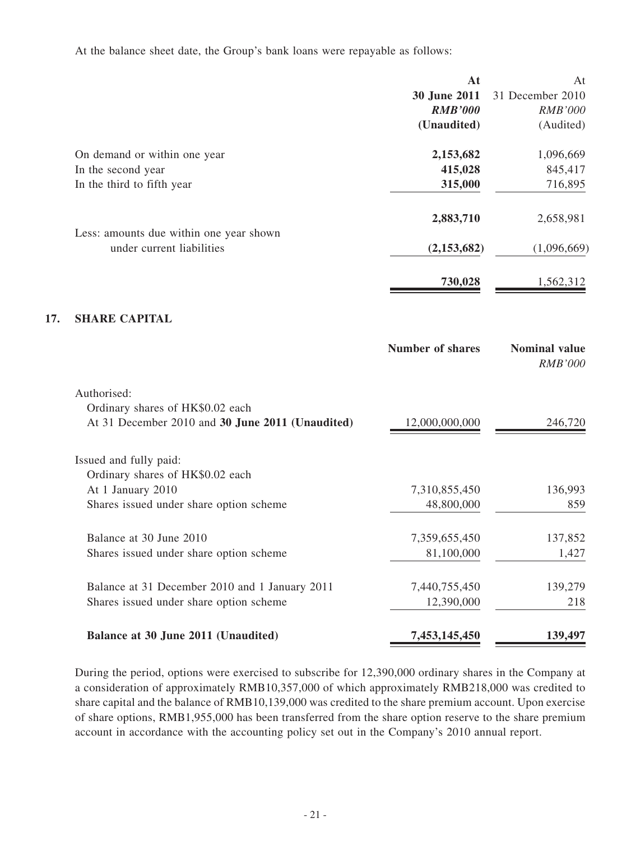At the balance sheet date, the Group's bank loans were repayable as follows:

**17.** 

|                                                                      | At                      | At                                     |
|----------------------------------------------------------------------|-------------------------|----------------------------------------|
|                                                                      | 30 June 2011            | 31 December 2010                       |
|                                                                      | <b>RMB'000</b>          | <b>RMB'000</b>                         |
|                                                                      | (Unaudited)             | (Audited)                              |
| On demand or within one year                                         | 2,153,682               | 1,096,669                              |
| In the second year                                                   | 415,028                 | 845,417                                |
| In the third to fifth year                                           | 315,000                 | 716,895                                |
|                                                                      | 2,883,710               | 2,658,981                              |
| Less: amounts due within one year shown<br>under current liabilities | (2, 153, 682)           | (1,096,669)                            |
|                                                                      |                         |                                        |
|                                                                      | 730,028                 | 1,562,312                              |
| <b>SHARE CAPITAL</b>                                                 |                         |                                        |
|                                                                      | <b>Number of shares</b> | <b>Nominal value</b><br><b>RMB'000</b> |
| Authorised:                                                          |                         |                                        |
| Ordinary shares of HK\$0.02 each                                     |                         |                                        |
| At 31 December 2010 and 30 June 2011 (Unaudited)                     | 12,000,000,000          | 246,720                                |
| Issued and fully paid:                                               |                         |                                        |
| Ordinary shares of HK\$0.02 each                                     |                         |                                        |
| At 1 January 2010                                                    | 7,310,855,450           | 136,993                                |
| Shares issued under share option scheme                              | 48,800,000              | 859                                    |
| Balance at 30 June 2010                                              | 7,359,655,450           | 137,852                                |
| Shares issued under share option scheme                              | 81,100,000              | 1,427                                  |
| Balance at 31 December 2010 and 1 January 2011                       | 7,440,755,450           | 139,279                                |
| Shares issued under share option scheme                              | 12,390,000              | 218                                    |
| Balance at 30 June 2011 (Unaudited)                                  | 7,453,145,450           | 139,497                                |

During the period, options were exercised to subscribe for 12,390,000 ordinary shares in the Company at a consideration of approximately RMB10,357,000 of which approximately RMB218,000 was credited to share capital and the balance of RMB10,139,000 was credited to the share premium account. Upon exercise of share options, RMB1,955,000 has been transferred from the share option reserve to the share premium account in accordance with the accounting policy set out in the Company's 2010 annual report.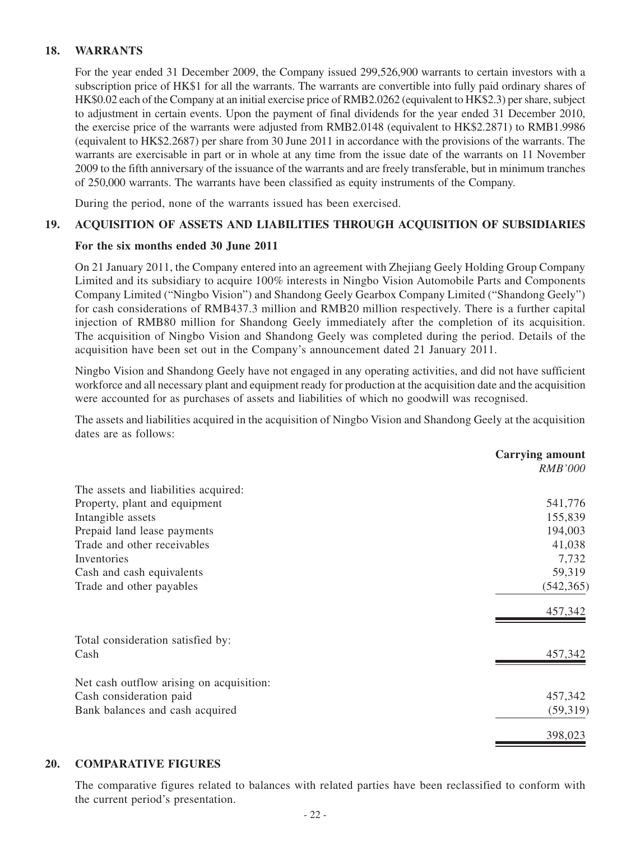### **18. WARRANTS**

For the year ended 31 December 2009, the Company issued 299,526,900 warrants to certain investors with a subscription price of HK\$1 for all the warrants. The warrants are convertible into fully paid ordinary shares of HK\$0.02 each of the Company at an initial exercise price of RMB2.0262 (equivalent to HK\$2.3) per share, subject to adjustment in certain events. Upon the payment of final dividends for the year ended 31 December 2010, the exercise price of the warrants were adjusted from RMB2.0148 (equivalent to HK\$2.2871) to RMB1.9986 (equivalent to HK\$2.2687) per share from 30 June 2011 in accordance with the provisions of the warrants. The warrants are exercisable in part or in whole at any time from the issue date of the warrants on 11 November 2009 to the fifth anniversary of the issuance of the warrants and are freely transferable, but in minimum tranches of 250,000 warrants. The warrants have been classified as equity instruments of the Company.

During the period, none of the warrants issued has been exercised.

### **19. ACQUISITION OF ASSETS AND LIABILITIES THROUGH ACQUISITION OF SUBSIDIARIES**

#### **For the six months ended 30 June 2011**

On 21 January 2011, the Company entered into an agreement with Zhejiang Geely Holding Group Company Limited and its subsidiary to acquire 100% interests in Ningbo Vision Automobile Parts and Components Company Limited ("Ningbo Vision") and Shandong Geely Gearbox Company Limited ("Shandong Geely") for cash considerations of RMB437.3 million and RMB20 million respectively. There is a further capital injection of RMB80 million for Shandong Geely immediately after the completion of its acquisition. The acquisition of Ningbo Vision and Shandong Geely was completed during the period. Details of the acquisition have been set out in the Company's announcement dated 21 January 2011.

Ningbo Vision and Shandong Geely have not engaged in any operating activities, and did not have sufficient workforce and all necessary plant and equipment ready for production at the acquisition date and the acquisition were accounted for as purchases of assets and liabilities of which no goodwill was recognised.

The assets and liabilities acquired in the acquisition of Ningbo Vision and Shandong Geely at the acquisition dates are as follows:

|                                          | <b>Carrying amount</b> |
|------------------------------------------|------------------------|
|                                          | <b>RMB'000</b>         |
| The assets and liabilities acquired:     |                        |
| Property, plant and equipment            | 541,776                |
| Intangible assets                        | 155,839                |
| Prepaid land lease payments              | 194,003                |
| Trade and other receivables              | 41,038                 |
| Inventories                              | 7,732                  |
| Cash and cash equivalents                | 59,319                 |
| Trade and other payables                 | (542, 365)             |
|                                          | 457,342                |
| Total consideration satisfied by:        |                        |
| Cash                                     | 457,342                |
| Net cash outflow arising on acquisition: |                        |
| Cash consideration paid                  | 457,342                |
| Bank balances and cash acquired          | (59,319)               |
|                                          | 398,023                |

### **20. COMPARATIVE FIGURES**

The comparative figures related to balances with related parties have been reclassified to conform with the current period's presentation.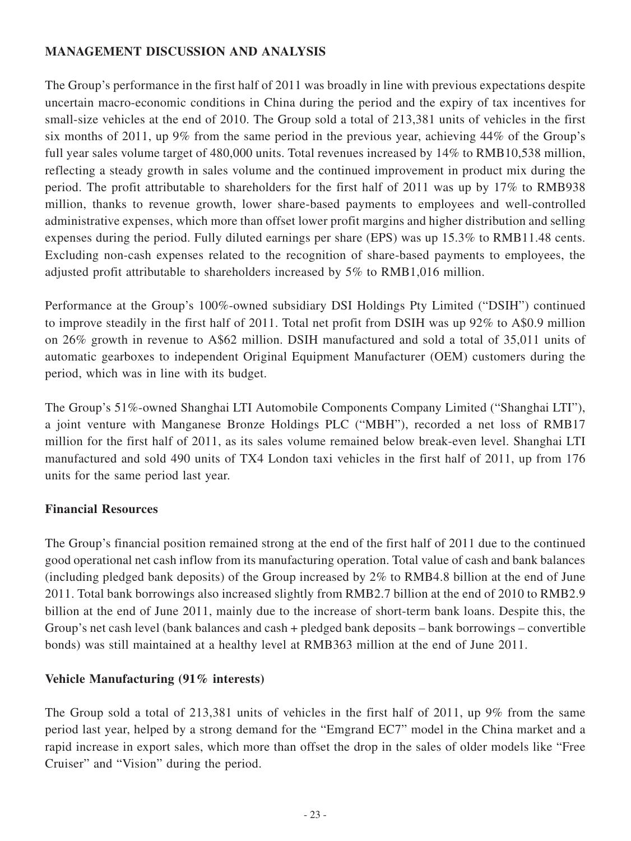## **MANAGEMENT DISCUSSION AND ANALYSIS**

The Group's performance in the first half of 2011 was broadly in line with previous expectations despite uncertain macro-economic conditions in China during the period and the expiry of tax incentives for small-size vehicles at the end of 2010. The Group sold a total of 213,381 units of vehicles in the first six months of 2011, up 9% from the same period in the previous year, achieving 44% of the Group's full year sales volume target of 480,000 units. Total revenues increased by 14% to RMB10,538 million, reflecting a steady growth in sales volume and the continued improvement in product mix during the period. The profit attributable to shareholders for the first half of 2011 was up by 17% to RMB938 million, thanks to revenue growth, lower share-based payments to employees and well-controlled administrative expenses, which more than offset lower profit margins and higher distribution and selling expenses during the period. Fully diluted earnings per share (EPS) was up 15.3% to RMB11.48 cents. Excluding non-cash expenses related to the recognition of share-based payments to employees, the adjusted profit attributable to shareholders increased by 5% to RMB1,016 million.

Performance at the Group's 100%-owned subsidiary DSI Holdings Pty Limited ("DSIH") continued to improve steadily in the first half of 2011. Total net profit from DSIH was up 92% to A\$0.9 million on 26% growth in revenue to A\$62 million. DSIH manufactured and sold a total of 35,011 units of automatic gearboxes to independent Original Equipment Manufacturer (OEM) customers during the period, which was in line with its budget.

The Group's 51%-owned Shanghai LTI Automobile Components Company Limited ("Shanghai LTI"), a joint venture with Manganese Bronze Holdings PLC ("MBH"), recorded a net loss of RMB17 million for the first half of 2011, as its sales volume remained below break-even level. Shanghai LTI manufactured and sold 490 units of TX4 London taxi vehicles in the first half of 2011, up from 176 units for the same period last year.

## **Financial Resources**

The Group's financial position remained strong at the end of the first half of 2011 due to the continued good operational net cash inflow from its manufacturing operation. Total value of cash and bank balances (including pledged bank deposits) of the Group increased by 2% to RMB4.8 billion at the end of June 2011. Total bank borrowings also increased slightly from RMB2.7 billion at the end of 2010 to RMB2.9 billion at the end of June 2011, mainly due to the increase of short-term bank loans. Despite this, the Group's net cash level (bank balances and cash + pledged bank deposits – bank borrowings – convertible bonds) was still maintained at a healthy level at RMB363 million at the end of June 2011.

## **Vehicle Manufacturing (91% interests)**

The Group sold a total of 213,381 units of vehicles in the first half of 2011, up 9% from the same period last year, helped by a strong demand for the "Emgrand EC7" model in the China market and a rapid increase in export sales, which more than offset the drop in the sales of older models like "Free Cruiser" and "Vision" during the period.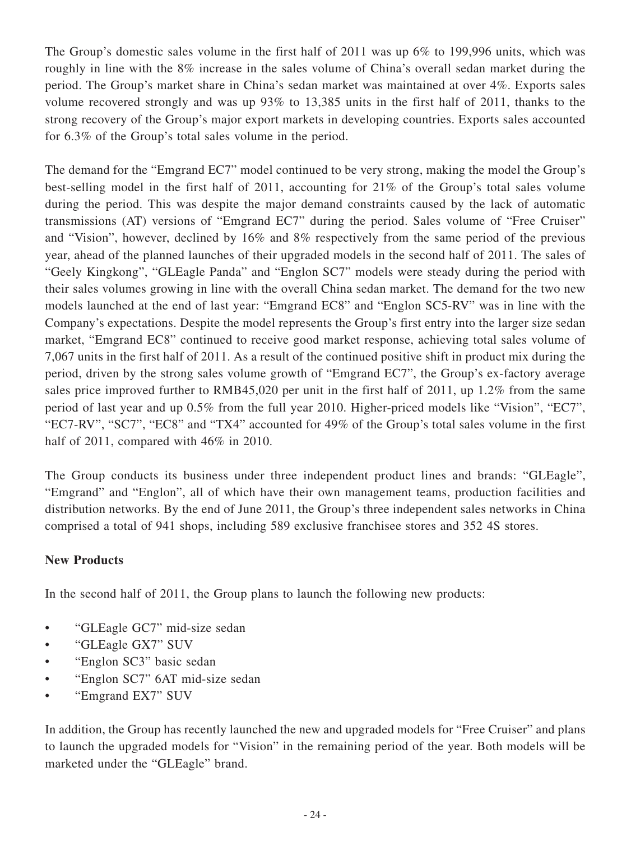The Group's domestic sales volume in the first half of 2011 was up 6% to 199,996 units, which was roughly in line with the 8% increase in the sales volume of China's overall sedan market during the period. The Group's market share in China's sedan market was maintained at over 4%. Exports sales volume recovered strongly and was up 93% to 13,385 units in the first half of 2011, thanks to the strong recovery of the Group's major export markets in developing countries. Exports sales accounted for 6.3% of the Group's total sales volume in the period.

The demand for the "Emgrand EC7" model continued to be very strong, making the model the Group's best-selling model in the first half of 2011, accounting for 21% of the Group's total sales volume during the period. This was despite the major demand constraints caused by the lack of automatic transmissions (AT) versions of "Emgrand EC7" during the period. Sales volume of "Free Cruiser" and "Vision", however, declined by 16% and 8% respectively from the same period of the previous year, ahead of the planned launches of their upgraded models in the second half of 2011. The sales of "Geely Kingkong", "GLEagle Panda" and "Englon SC7" models were steady during the period with their sales volumes growing in line with the overall China sedan market. The demand for the two new models launched at the end of last year: "Emgrand EC8" and "Englon SC5-RV" was in line with the Company's expectations. Despite the model represents the Group's first entry into the larger size sedan market, "Emgrand EC8" continued to receive good market response, achieving total sales volume of 7,067 units in the first half of 2011. As a result of the continued positive shift in product mix during the period, driven by the strong sales volume growth of "Emgrand EC7", the Group's ex-factory average sales price improved further to RMB45,020 per unit in the first half of 2011, up 1.2% from the same period of last year and up 0.5% from the full year 2010. Higher-priced models like "Vision", "EC7", "EC7-RV", "SC7", "EC8" and "TX4" accounted for 49% of the Group's total sales volume in the first half of 2011, compared with 46% in 2010.

The Group conducts its business under three independent product lines and brands: "GLEagle", "Emgrand" and "Englon", all of which have their own management teams, production facilities and distribution networks. By the end of June 2011, the Group's three independent sales networks in China comprised a total of 941 shops, including 589 exclusive franchisee stores and 352 4S stores.

## **New Products**

In the second half of 2011, the Group plans to launch the following new products:

- "GLEagle GC7" mid-size sedan
- "GLEagle GX7" SUV
- "Englon SC3" basic sedan
- "Englon SC7" 6AT mid-size sedan
- "Emgrand EX7" SUV

In addition, the Group has recently launched the new and upgraded models for "Free Cruiser" and plans to launch the upgraded models for "Vision" in the remaining period of the year. Both models will be marketed under the "GLEagle" brand.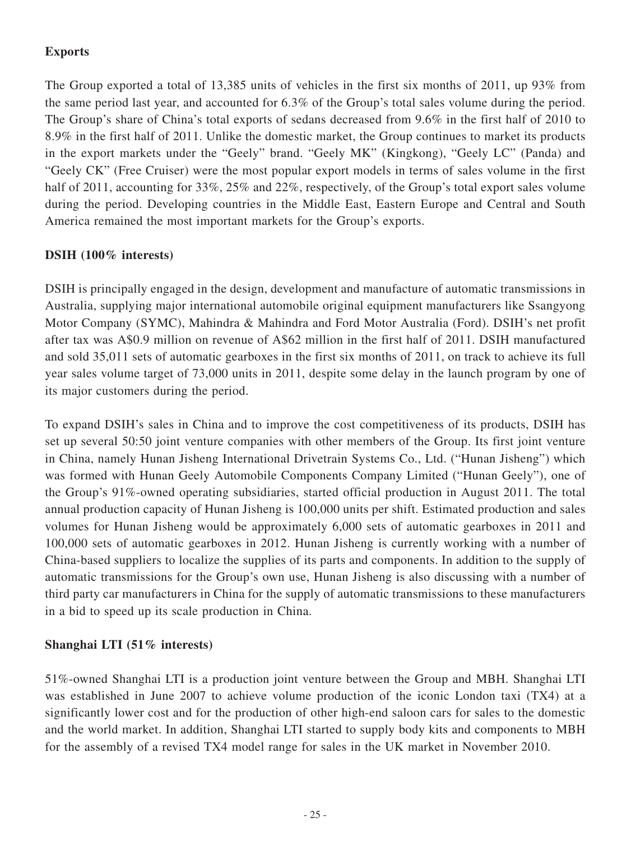## **Exports**

The Group exported a total of 13,385 units of vehicles in the first six months of 2011, up 93% from the same period last year, and accounted for 6.3% of the Group's total sales volume during the period. The Group's share of China's total exports of sedans decreased from 9.6% in the first half of 2010 to 8.9% in the first half of 2011. Unlike the domestic market, the Group continues to market its products in the export markets under the "Geely" brand. "Geely MK" (Kingkong), "Geely LC" (Panda) and "Geely CK" (Free Cruiser) were the most popular export models in terms of sales volume in the first half of 2011, accounting for 33%, 25% and 22%, respectively, of the Group's total export sales volume during the period. Developing countries in the Middle East, Eastern Europe and Central and South America remained the most important markets for the Group's exports.

## **DSIH (100% interests)**

DSIH is principally engaged in the design, development and manufacture of automatic transmissions in Australia, supplying major international automobile original equipment manufacturers like Ssangyong Motor Company (SYMC), Mahindra & Mahindra and Ford Motor Australia (Ford). DSIH's net profit after tax was A\$0.9 million on revenue of A\$62 million in the first half of 2011. DSIH manufactured and sold 35,011 sets of automatic gearboxes in the first six months of 2011, on track to achieve its full year sales volume target of 73,000 units in 2011, despite some delay in the launch program by one of its major customers during the period.

To expand DSIH's sales in China and to improve the cost competitiveness of its products, DSIH has set up several 50:50 joint venture companies with other members of the Group. Its first joint venture in China, namely Hunan Jisheng International Drivetrain Systems Co., Ltd. ("Hunan Jisheng") which was formed with Hunan Geely Automobile Components Company Limited ("Hunan Geely"), one of the Group's 91%-owned operating subsidiaries, started official production in August 2011. The total annual production capacity of Hunan Jisheng is 100,000 units per shift. Estimated production and sales volumes for Hunan Jisheng would be approximately 6,000 sets of automatic gearboxes in 2011 and 100,000 sets of automatic gearboxes in 2012. Hunan Jisheng is currently working with a number of China-based suppliers to localize the supplies of its parts and components. In addition to the supply of automatic transmissions for the Group's own use, Hunan Jisheng is also discussing with a number of third party car manufacturers in China for the supply of automatic transmissions to these manufacturers in a bid to speed up its scale production in China.

## **Shanghai LTI (51% interests)**

51%-owned Shanghai LTI is a production joint venture between the Group and MBH. Shanghai LTI was established in June 2007 to achieve volume production of the iconic London taxi (TX4) at a significantly lower cost and for the production of other high-end saloon cars for sales to the domestic and the world market. In addition, Shanghai LTI started to supply body kits and components to MBH for the assembly of a revised TX4 model range for sales in the UK market in November 2010.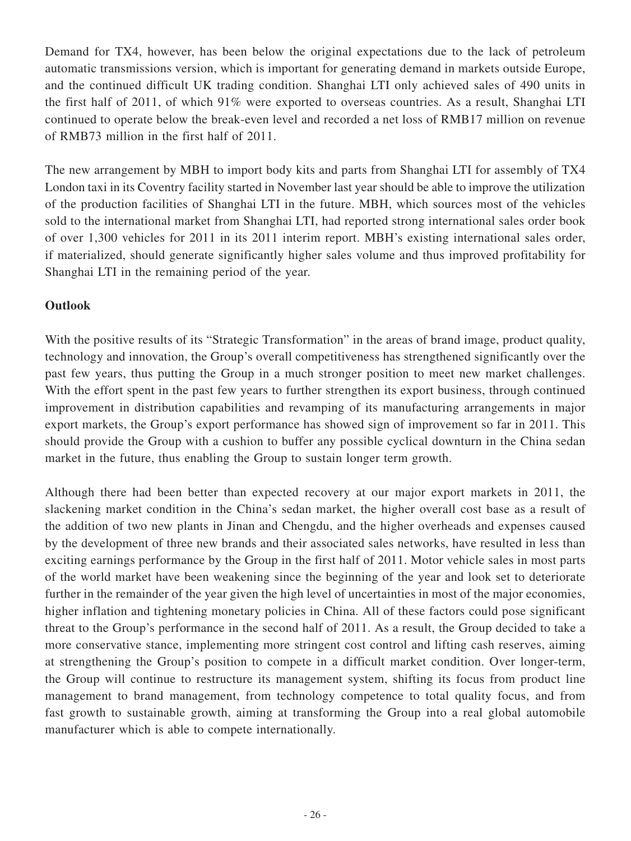Demand for TX4, however, has been below the original expectations due to the lack of petroleum automatic transmissions version, which is important for generating demand in markets outside Europe, and the continued difficult UK trading condition. Shanghai LTI only achieved sales of 490 units in the first half of 2011, of which 91% were exported to overseas countries. As a result, Shanghai LTI continued to operate below the break-even level and recorded a net loss of RMB17 million on revenue of RMB73 million in the first half of 2011.

The new arrangement by MBH to import body kits and parts from Shanghai LTI for assembly of TX4 London taxi in its Coventry facility started in November last year should be able to improve the utilization of the production facilities of Shanghai LTI in the future. MBH, which sources most of the vehicles sold to the international market from Shanghai LTI, had reported strong international sales order book of over 1,300 vehicles for 2011 in its 2011 interim report. MBH's existing international sales order, if materialized, should generate significantly higher sales volume and thus improved profitability for Shanghai LTI in the remaining period of the year.

### **Outlook**

With the positive results of its "Strategic Transformation" in the areas of brand image, product quality, technology and innovation, the Group's overall competitiveness has strengthened significantly over the past few years, thus putting the Group in a much stronger position to meet new market challenges. With the effort spent in the past few years to further strengthen its export business, through continued improvement in distribution capabilities and revamping of its manufacturing arrangements in major export markets, the Group's export performance has showed sign of improvement so far in 2011. This should provide the Group with a cushion to buffer any possible cyclical downturn in the China sedan market in the future, thus enabling the Group to sustain longer term growth.

Although there had been better than expected recovery at our major export markets in 2011, the slackening market condition in the China's sedan market, the higher overall cost base as a result of the addition of two new plants in Jinan and Chengdu, and the higher overheads and expenses caused by the development of three new brands and their associated sales networks, have resulted in less than exciting earnings performance by the Group in the first half of 2011. Motor vehicle sales in most parts of the world market have been weakening since the beginning of the year and look set to deteriorate further in the remainder of the year given the high level of uncertainties in most of the major economies, higher inflation and tightening monetary policies in China. All of these factors could pose significant threat to the Group's performance in the second half of 2011. As a result, the Group decided to take a more conservative stance, implementing more stringent cost control and lifting cash reserves, aiming at strengthening the Group's position to compete in a difficult market condition. Over longer-term, the Group will continue to restructure its management system, shifting its focus from product line management to brand management, from technology competence to total quality focus, and from fast growth to sustainable growth, aiming at transforming the Group into a real global automobile manufacturer which is able to compete internationally.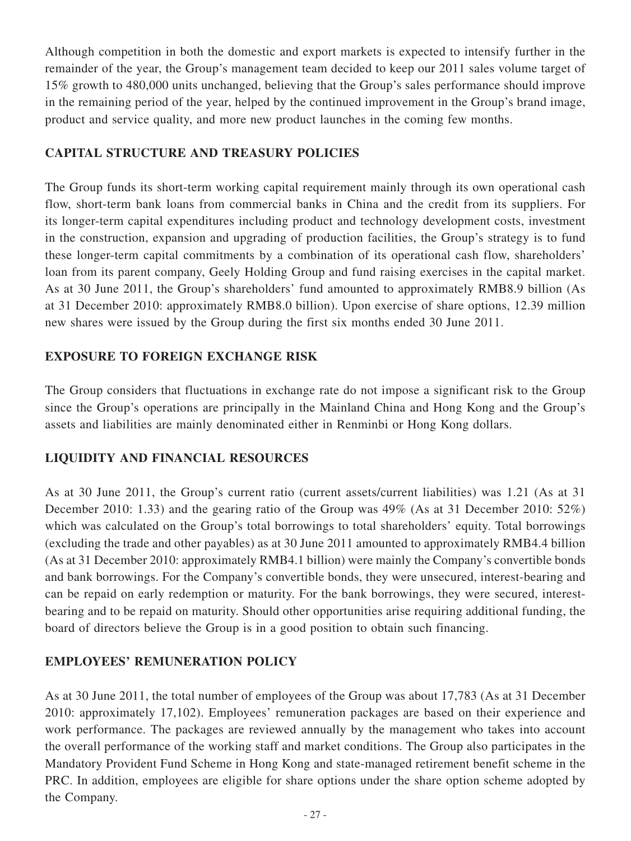Although competition in both the domestic and export markets is expected to intensify further in the remainder of the year, the Group's management team decided to keep our 2011 sales volume target of 15% growth to 480,000 units unchanged, believing that the Group's sales performance should improve in the remaining period of the year, helped by the continued improvement in the Group's brand image, product and service quality, and more new product launches in the coming few months.

## **CAPITAL STRUCTURE AND TREASURY POLICIES**

The Group funds its short-term working capital requirement mainly through its own operational cash flow, short-term bank loans from commercial banks in China and the credit from its suppliers. For its longer-term capital expenditures including product and technology development costs, investment in the construction, expansion and upgrading of production facilities, the Group's strategy is to fund these longer-term capital commitments by a combination of its operational cash flow, shareholders' loan from its parent company, Geely Holding Group and fund raising exercises in the capital market. As at 30 June 2011, the Group's shareholders' fund amounted to approximately RMB8.9 billion (As at 31 December 2010: approximately RMB8.0 billion). Upon exercise of share options, 12.39 million new shares were issued by the Group during the first six months ended 30 June 2011.

## **EXPOSURE TO FOREIGN EXCHANGE RISK**

The Group considers that fluctuations in exchange rate do not impose a significant risk to the Group since the Group's operations are principally in the Mainland China and Hong Kong and the Group's assets and liabilities are mainly denominated either in Renminbi or Hong Kong dollars.

## **LIQUIDITY AND FINANCIAL RESOURCES**

As at 30 June 2011, the Group's current ratio (current assets/current liabilities) was 1.21 (As at 31 December 2010: 1.33) and the gearing ratio of the Group was 49% (As at 31 December 2010: 52%) which was calculated on the Group's total borrowings to total shareholders' equity. Total borrowings (excluding the trade and other payables) as at 30 June 2011 amounted to approximately RMB4.4 billion (As at 31 December 2010: approximately RMB4.1 billion) were mainly the Company's convertible bonds and bank borrowings. For the Company's convertible bonds, they were unsecured, interest-bearing and can be repaid on early redemption or maturity. For the bank borrowings, they were secured, interestbearing and to be repaid on maturity. Should other opportunities arise requiring additional funding, the board of directors believe the Group is in a good position to obtain such financing.

## **EMPLOYEES' REMUNERATION POLICY**

As at 30 June 2011, the total number of employees of the Group was about 17,783 (As at 31 December 2010: approximately 17,102). Employees' remuneration packages are based on their experience and work performance. The packages are reviewed annually by the management who takes into account the overall performance of the working staff and market conditions. The Group also participates in the Mandatory Provident Fund Scheme in Hong Kong and state-managed retirement benefit scheme in the PRC. In addition, employees are eligible for share options under the share option scheme adopted by the Company.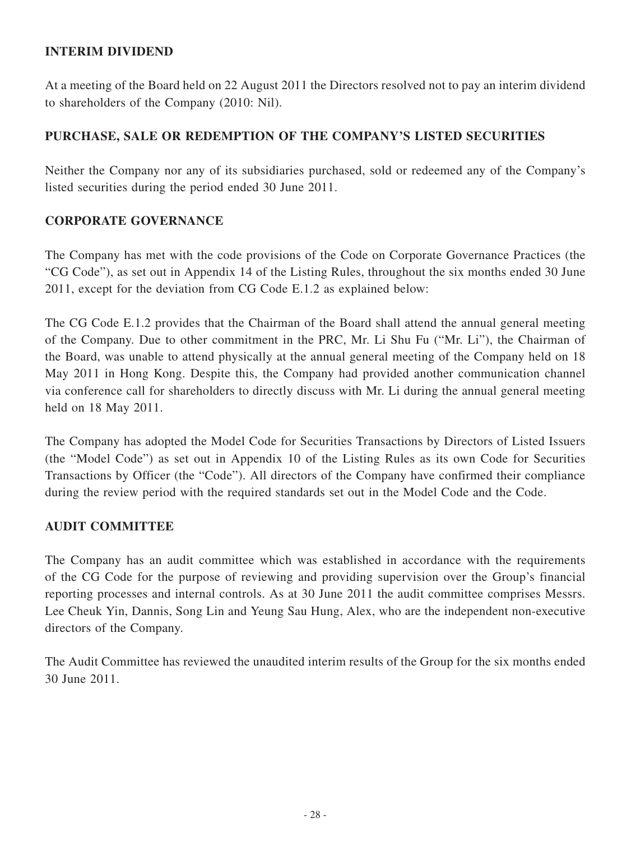## **INTERIM DIVIDEND**

At a meeting of the Board held on 22 August 2011 the Directors resolved not to pay an interim dividend to shareholders of the Company (2010: Nil).

## **PURCHASE, SALE OR REDEMPTION OF THE COMPANY'S LISTED SECURITIES**

Neither the Company nor any of its subsidiaries purchased, sold or redeemed any of the Company's listed securities during the period ended 30 June 2011.

## **CORPORATE GOVERNANCE**

The Company has met with the code provisions of the Code on Corporate Governance Practices (the "CG Code"), as set out in Appendix 14 of the Listing Rules, throughout the six months ended 30 June 2011, except for the deviation from CG Code E.1.2 as explained below:

The CG Code E.1.2 provides that the Chairman of the Board shall attend the annual general meeting of the Company. Due to other commitment in the PRC, Mr. Li Shu Fu ("Mr. Li"), the Chairman of the Board, was unable to attend physically at the annual general meeting of the Company held on 18 May 2011 in Hong Kong. Despite this, the Company had provided another communication channel via conference call for shareholders to directly discuss with Mr. Li during the annual general meeting held on 18 May 2011.

The Company has adopted the Model Code for Securities Transactions by Directors of Listed Issuers (the "Model Code") as set out in Appendix 10 of the Listing Rules as its own Code for Securities Transactions by Officer (the "Code"). All directors of the Company have confirmed their compliance during the review period with the required standards set out in the Model Code and the Code.

## **AUDIT COMMITTEE**

The Company has an audit committee which was established in accordance with the requirements of the CG Code for the purpose of reviewing and providing supervision over the Group's financial reporting processes and internal controls. As at 30 June 2011 the audit committee comprises Messrs. Lee Cheuk Yin, Dannis, Song Lin and Yeung Sau Hung, Alex, who are the independent non-executive directors of the Company.

The Audit Committee has reviewed the unaudited interim results of the Group for the six months ended 30 June 2011.